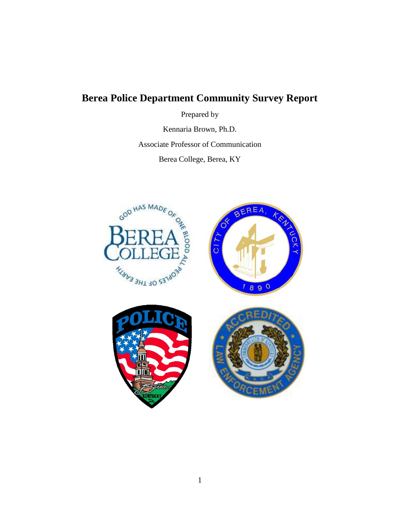# **Berea Police Department Community Survey Report**

Prepared by

Kennaria Brown, Ph.D. Associate Professor of Communication Berea College, Berea, KY

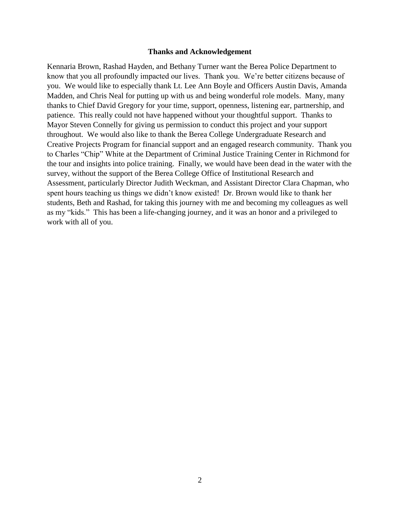#### **Thanks and Acknowledgement**

Kennaria Brown, Rashad Hayden, and Bethany Turner want the Berea Police Department to know that you all profoundly impacted our lives. Thank you. We're better citizens because of you. We would like to especially thank Lt. Lee Ann Boyle and Officers Austin Davis, Amanda Madden, and Chris Neal for putting up with us and being wonderful role models. Many, many thanks to Chief David Gregory for your time, support, openness, listening ear, partnership, and patience. This really could not have happened without your thoughtful support. Thanks to Mayor Steven Connelly for giving us permission to conduct this project and your support throughout. We would also like to thank the Berea College Undergraduate Research and Creative Projects Program for financial support and an engaged research community. Thank you to Charles "Chip" White at the Department of Criminal Justice Training Center in Richmond for the tour and insights into police training. Finally, we would have been dead in the water with the survey, without the support of the Berea College Office of Institutional Research and Assessment, particularly Director Judith Weckman, and Assistant Director Clara Chapman, who spent hours teaching us things we didn't know existed! Dr. Brown would like to thank her students, Beth and Rashad, for taking this journey with me and becoming my colleagues as well as my "kids." This has been a life-changing journey, and it was an honor and a privileged to work with all of you.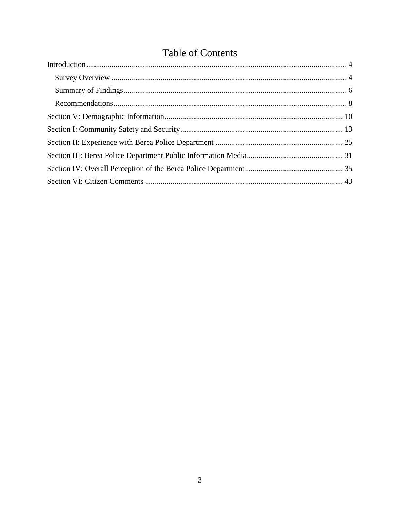# **Table of Contents**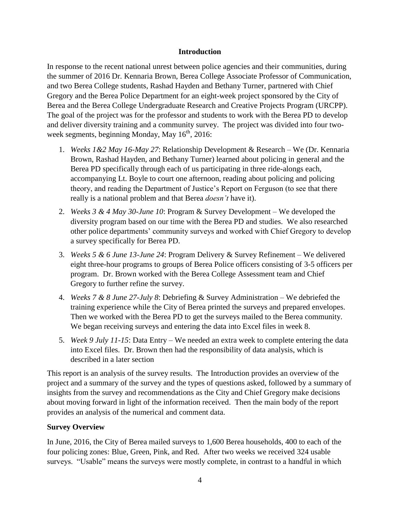### **Introduction**

<span id="page-3-0"></span>In response to the recent national unrest between police agencies and their communities, during the summer of 2016 Dr. Kennaria Brown, Berea College Associate Professor of Communication, and two Berea College students, Rashad Hayden and Bethany Turner, partnered with Chief Gregory and the Berea Police Department for an eight-week project sponsored by the City of Berea and the Berea College Undergraduate Research and Creative Projects Program (URCPP). The goal of the project was for the professor and students to work with the Berea PD to develop and deliver diversity training and a community survey. The project was divided into four twoweek segments, beginning Monday, May  $16<sup>th</sup>$ , 2016:

- 1. *Weeks 1&2 May 16-May 27*: Relationship Development & Research We (Dr. Kennaria Brown, Rashad Hayden, and Bethany Turner) learned about policing in general and the Berea PD specifically through each of us participating in three ride-alongs each, accompanying Lt. Boyle to court one afternoon, reading about policing and policing theory, and reading the Department of Justice's Report on Ferguson (to see that there really is a national problem and that Berea *doesn't* have it).
- 2. *Weeks 3 & 4 May 30-June 10*: Program & Survey Development We developed the diversity program based on our time with the Berea PD and studies. We also researched other police departments' community surveys and worked with Chief Gregory to develop a survey specifically for Berea PD.
- 3. *Weeks 5 & 6 June 13-June 24*: Program Delivery & Survey Refinement We delivered eight three-hour programs to groups of Berea Police officers consisting of 3-5 officers per program. Dr. Brown worked with the Berea College Assessment team and Chief Gregory to further refine the survey.
- 4. *Weeks 7 & 8 June 27-July 8*: Debriefing & Survey Administration We debriefed the training experience while the City of Berea printed the surveys and prepared envelopes. Then we worked with the Berea PD to get the surveys mailed to the Berea community. We began receiving surveys and entering the data into Excel files in week 8.
- 5. *Week 9 July 11-15*: Data Entry We needed an extra week to complete entering the data into Excel files. Dr. Brown then had the responsibility of data analysis, which is described in a later section

This report is an analysis of the survey results. The Introduction provides an overview of the project and a summary of the survey and the types of questions asked, followed by a summary of insights from the survey and recommendations as the City and Chief Gregory make decisions about moving forward in light of the information received. Then the main body of the report provides an analysis of the numerical and comment data.

# <span id="page-3-1"></span>**Survey Overview**

In June, 2016, the City of Berea mailed surveys to 1,600 Berea households, 400 to each of the four policing zones: Blue, Green, Pink, and Red. After two weeks we received 324 usable surveys. "Usable" means the surveys were mostly complete, in contrast to a handful in which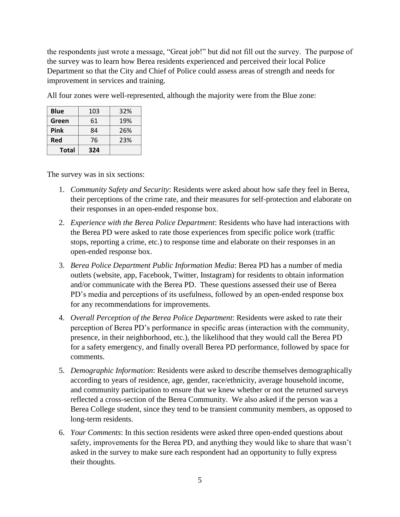the respondents just wrote a message, "Great job!" but did not fill out the survey. The purpose of the survey was to learn how Berea residents experienced and perceived their local Police Department so that the City and Chief of Police could assess areas of strength and needs for improvement in services and training.

All four zones were well-represented, although the majority were from the Blue zone:

| Total       | 324 |     |
|-------------|-----|-----|
| Red         | 76  | 23% |
| Pink        | 84  | 26% |
| Green       | 61  | 19% |
| <b>Blue</b> | 103 | 32% |

The survey was in six sections:

- 1. *Community Safety and Security*: Residents were asked about how safe they feel in Berea, their perceptions of the crime rate, and their measures for self-protection and elaborate on their responses in an open-ended response box.
- 2. *Experience with the Berea Police Department*: Residents who have had interactions with the Berea PD were asked to rate those experiences from specific police work (traffic stops, reporting a crime, etc.) to response time and elaborate on their responses in an open-ended response box.
- 3. *Berea Police Department Public Information Media*: Berea PD has a number of media outlets (website, app, Facebook, Twitter, Instagram) for residents to obtain information and/or communicate with the Berea PD. These questions assessed their use of Berea PD's media and perceptions of its usefulness, followed by an open-ended response box for any recommendations for improvements.
- 4. *Overall Perception of the Berea Police Department*: Residents were asked to rate their perception of Berea PD's performance in specific areas (interaction with the community, presence, in their neighborhood, etc.), the likelihood that they would call the Berea PD for a safety emergency, and finally overall Berea PD performance, followed by space for comments.
- 5. *Demographic Information*: Residents were asked to describe themselves demographically according to years of residence, age, gender, race/ethnicity, average household income, and community participation to ensure that we knew whether or not the returned surveys reflected a cross-section of the Berea Community. We also asked if the person was a Berea College student, since they tend to be transient community members, as opposed to long-term residents.
- 6. *Your Comments*: In this section residents were asked three open-ended questions about safety, improvements for the Berea PD, and anything they would like to share that wasn't asked in the survey to make sure each respondent had an opportunity to fully express their thoughts.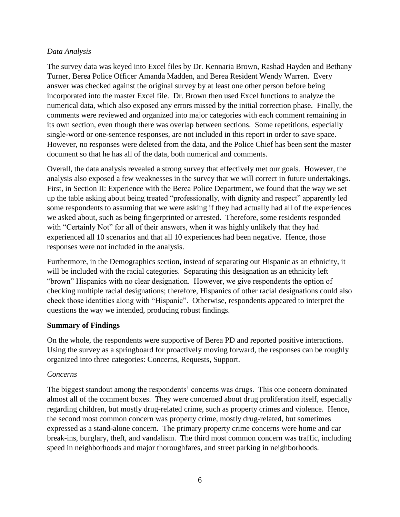## *Data Analysis*

The survey data was keyed into Excel files by Dr. Kennaria Brown, Rashad Hayden and Bethany Turner, Berea Police Officer Amanda Madden, and Berea Resident Wendy Warren. Every answer was checked against the original survey by at least one other person before being incorporated into the master Excel file. Dr. Brown then used Excel functions to analyze the numerical data, which also exposed any errors missed by the initial correction phase. Finally, the comments were reviewed and organized into major categories with each comment remaining in its own section, even though there was overlap between sections. Some repetitions, especially single-word or one-sentence responses, are not included in this report in order to save space. However, no responses were deleted from the data, and the Police Chief has been sent the master document so that he has all of the data, both numerical and comments.

Overall, the data analysis revealed a strong survey that effectively met our goals. However, the analysis also exposed a few weaknesses in the survey that we will correct in future undertakings. First, in Section II: Experience with the Berea Police Department, we found that the way we set up the table asking about being treated "professionally, with dignity and respect" apparently led some respondents to assuming that we were asking if they had actually had all of the experiences we asked about, such as being fingerprinted or arrested. Therefore, some residents responded with "Certainly Not" for all of their answers, when it was highly unlikely that they had experienced all 10 scenarios and that all 10 experiences had been negative. Hence, those responses were not included in the analysis.

Furthermore, in the Demographics section, instead of separating out Hispanic as an ethnicity, it will be included with the racial categories. Separating this designation as an ethnicity left "brown" Hispanics with no clear designation. However, we give respondents the option of checking multiple racial designations; therefore, Hispanics of other racial designations could also check those identities along with "Hispanic". Otherwise, respondents appeared to interpret the questions the way we intended, producing robust findings.

# <span id="page-5-0"></span>**Summary of Findings**

On the whole, the respondents were supportive of Berea PD and reported positive interactions. Using the survey as a springboard for proactively moving forward, the responses can be roughly organized into three categories: Concerns, Requests, Support.

#### *Concerns*

The biggest standout among the respondents' concerns was drugs. This one concern dominated almost all of the comment boxes. They were concerned about drug proliferation itself, especially regarding children, but mostly drug-related crime, such as property crimes and violence. Hence, the second most common concern was property crime, mostly drug-related, but sometimes expressed as a stand-alone concern. The primary property crime concerns were home and car break-ins, burglary, theft, and vandalism. The third most common concern was traffic, including speed in neighborhoods and major thoroughfares, and street parking in neighborhoods.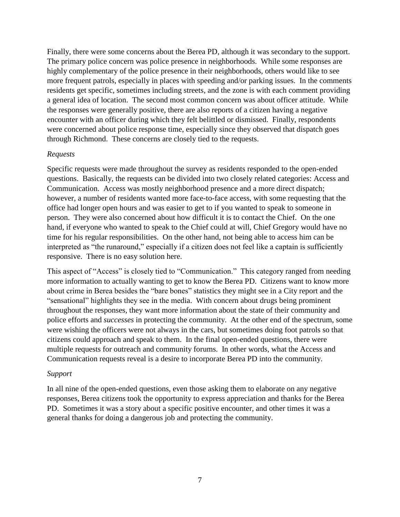Finally, there were some concerns about the Berea PD, although it was secondary to the support. The primary police concern was police presence in neighborhoods. While some responses are highly complementary of the police presence in their neighborhoods, others would like to see more frequent patrols, especially in places with speeding and/or parking issues. In the comments residents get specific, sometimes including streets, and the zone is with each comment providing a general idea of location. The second most common concern was about officer attitude. While the responses were generally positive, there are also reports of a citizen having a negative encounter with an officer during which they felt belittled or dismissed. Finally, respondents were concerned about police response time, especially since they observed that dispatch goes through Richmond. These concerns are closely tied to the requests.

#### *Requests*

Specific requests were made throughout the survey as residents responded to the open-ended questions. Basically, the requests can be divided into two closely related categories: Access and Communication. Access was mostly neighborhood presence and a more direct dispatch; however, a number of residents wanted more face-to-face access, with some requesting that the office had longer open hours and was easier to get to if you wanted to speak to someone in person. They were also concerned about how difficult it is to contact the Chief. On the one hand, if everyone who wanted to speak to the Chief could at will, Chief Gregory would have no time for his regular responsibilities. On the other hand, not being able to access him can be interpreted as "the runaround," especially if a citizen does not feel like a captain is sufficiently responsive. There is no easy solution here.

This aspect of "Access" is closely tied to "Communication." This category ranged from needing more information to actually wanting to get to know the Berea PD. Citizens want to know more about crime in Berea besides the "bare bones" statistics they might see in a City report and the "sensational" highlights they see in the media. With concern about drugs being prominent throughout the responses, they want more information about the state of their community and police efforts and *successes* in protecting the community. At the other end of the spectrum, some were wishing the officers were not always in the cars, but sometimes doing foot patrols so that citizens could approach and speak to them. In the final open-ended questions, there were multiple requests for outreach and community forums. In other words, what the Access and Communication requests reveal is a desire to incorporate Berea PD into the community.

#### *Support*

In all nine of the open-ended questions, even those asking them to elaborate on any negative responses, Berea citizens took the opportunity to express appreciation and thanks for the Berea PD. Sometimes it was a story about a specific positive encounter, and other times it was a general thanks for doing a dangerous job and protecting the community.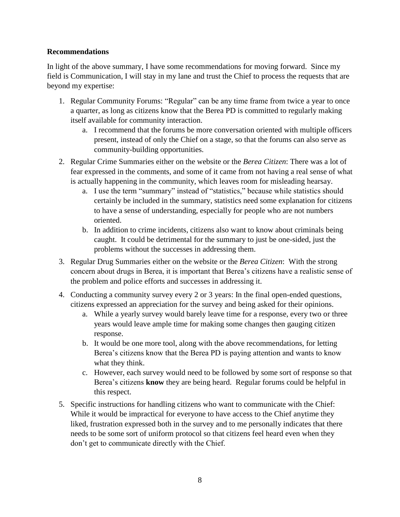## <span id="page-7-0"></span>**Recommendations**

In light of the above summary, I have some recommendations for moving forward. Since my field is Communication, I will stay in my lane and trust the Chief to process the requests that are beyond my expertise:

- 1. Regular Community Forums: "Regular" can be any time frame from twice a year to once a quarter, as long as citizens know that the Berea PD is committed to regularly making itself available for community interaction.
	- a. I recommend that the forums be more conversation oriented with multiple officers present, instead of only the Chief on a stage, so that the forums can also serve as community-building opportunities.
- 2. Regular Crime Summaries either on the website or the *Berea Citizen*: There was a lot of fear expressed in the comments, and some of it came from not having a real sense of what is actually happening in the community, which leaves room for misleading hearsay.
	- a. I use the term "summary" instead of "statistics," because while statistics should certainly be included in the summary, statistics need some explanation for citizens to have a sense of understanding, especially for people who are not numbers oriented.
	- b. In addition to crime incidents, citizens also want to know about criminals being caught. It could be detrimental for the summary to just be one-sided, just the problems without the successes in addressing them.
- 3. Regular Drug Summaries either on the website or the *Berea Citizen*: With the strong concern about drugs in Berea, it is important that Berea's citizens have a realistic sense of the problem and police efforts and successes in addressing it.
- 4. Conducting a community survey every 2 or 3 years: In the final open-ended questions, citizens expressed an appreciation for the survey and being asked for their opinions.
	- a. While a yearly survey would barely leave time for a response, every two or three years would leave ample time for making some changes then gauging citizen response.
	- b. It would be one more tool, along with the above recommendations, for letting Berea's citizens know that the Berea PD is paying attention and wants to know what they think.
	- c. However, each survey would need to be followed by some sort of response so that Berea's citizens **know** they are being heard. Regular forums could be helpful in this respect.
- 5. Specific instructions for handling citizens who want to communicate with the Chief: While it would be impractical for everyone to have access to the Chief anytime they liked, frustration expressed both in the survey and to me personally indicates that there needs to be some sort of uniform protocol so that citizens feel heard even when they don't get to communicate directly with the Chief.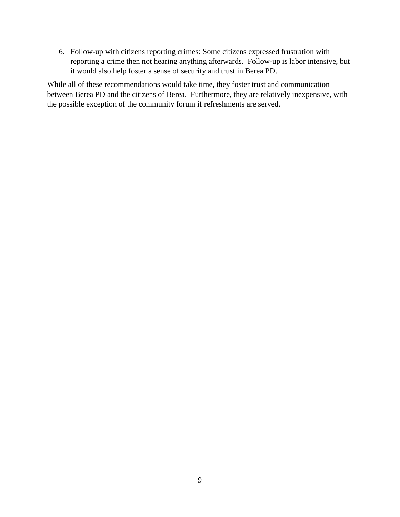6. Follow-up with citizens reporting crimes: Some citizens expressed frustration with reporting a crime then not hearing anything afterwards. Follow-up is labor intensive, but it would also help foster a sense of security and trust in Berea PD.

While all of these recommendations would take time, they foster trust and communication between Berea PD and the citizens of Berea. Furthermore, they are relatively inexpensive, with the possible exception of the community forum if refreshments are served.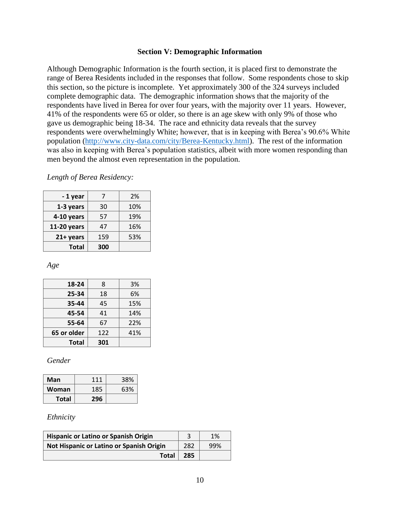#### **Section V: Demographic Information**

<span id="page-9-0"></span>Although Demographic Information is the fourth section, it is placed first to demonstrate the range of Berea Residents included in the responses that follow. Some respondents chose to skip this section, so the picture is incomplete. Yet approximately 300 of the 324 surveys included complete demographic data. The demographic information shows that the majority of the respondents have lived in Berea for over four years, with the majority over 11 years. However, 41% of the respondents were 65 or older, so there is an age skew with only 9% of those who gave us demographic being 18-34. The race and ethnicity data reveals that the survey respondents were overwhelmingly White; however, that is in keeping with Berea's 90.6% White population [\(http://www.city-data.com/city/Berea-Kentucky.html\)](http://www.city-data.com/city/Berea-Kentucky.html). The rest of the information was also in keeping with Berea's population statistics, albeit with more women responding than men beyond the almost even representation in the population.

*Length of Berea Residency:*

| -1 year      |     | 2%  |
|--------------|-----|-----|
| 1-3 years    | 30  | 10% |
| 4-10 years   | 57  | 19% |
| 11-20 years  | 47  | 16% |
| $21+ years$  | 159 | 53% |
| <b>Total</b> | 300 |     |

*Age*

| 18-24        | 8   | 3%  |
|--------------|-----|-----|
| 25-34        | 18  | 6%  |
| 35-44        | 45  | 15% |
| 45-54        | 41  | 14% |
| 55-64        | 67  | 22% |
| 65 or older  | 122 | 41% |
| <b>Total</b> | 301 |     |

*Gender*

| Man          | 111 | 38% |
|--------------|-----|-----|
| Woman        | 185 | 63% |
| <b>Total</b> | 296 |     |

#### *Ethnicity*

| <b>Hispanic or Latino or Spanish Origin</b> |     | 1%  |
|---------------------------------------------|-----|-----|
| Not Hispanic or Latino or Spanish Origin    | 282 | 99% |
| <b>Total</b>                                | 285 |     |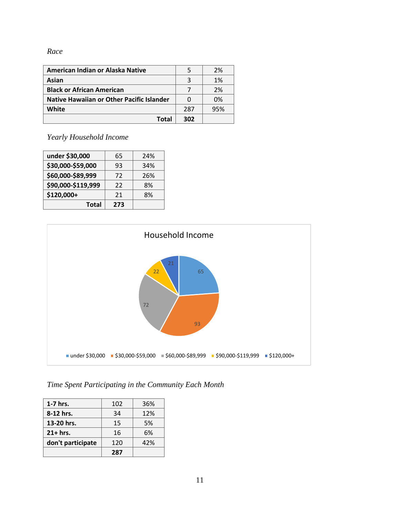### *Race*

| American Indian or Alaska Native                 |     | 2%  |
|--------------------------------------------------|-----|-----|
| Asian                                            |     | 1%  |
| <b>Black or African American</b>                 |     | 2%  |
| <b>Native Hawaiian or Other Pacific Islander</b> |     | 0%  |
| White                                            | 287 | 95% |
| Total                                            | 302 |     |

*Yearly Household Income*

| under \$30,000     | 65  | 24% |
|--------------------|-----|-----|
| \$30,000-\$59,000  | 93  | 34% |
| \$60,000-\$89,999  | 72  | 26% |
| \$90,000-\$119,999 | 22  | 8%  |
| \$120,000+         | 21  | 8%  |
| Total              | 273 |     |



*Time Spent Participating in the Community Each Month*

| $1-7$ hrs.        | 102 | 36% |
|-------------------|-----|-----|
| 8-12 hrs.         | 34  | 12% |
| 13-20 hrs.        | 15  | 5%  |
| $21+ hrs.$        | 16  | 6%  |
| don't participate | 120 | 42% |
|                   | 287 |     |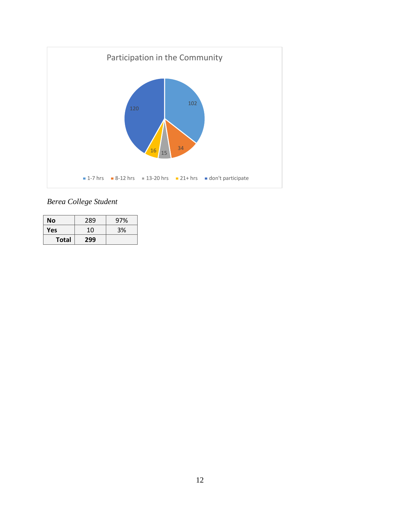

*Berea College Student* 

| Νo    | 289 | 97% |
|-------|-----|-----|
| Yes   | 10  | 3%  |
| Total | 299 |     |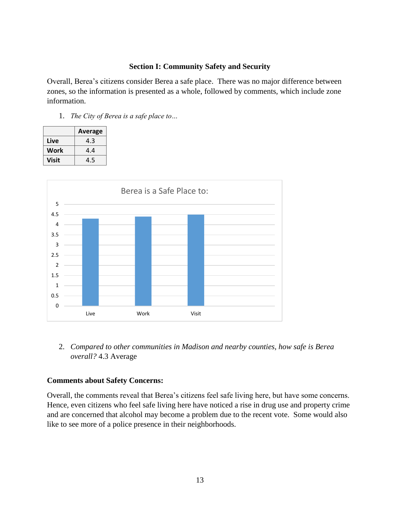#### **Section I: Community Safety and Security**

<span id="page-12-0"></span>Overall, Berea's citizens consider Berea a safe place. There was no major difference between zones, so the information is presented as a whole, followed by comments, which include zone information.

1. *The City of Berea is a safe place to…*

|       | <b>Average</b> |  |
|-------|----------------|--|
| Live  | 4.3            |  |
| Work  | 4.4            |  |
| Visit | 4.5            |  |



2. *Compared to other communities in Madison and nearby counties, how safe is Berea overall?* 4.3 Average

#### **Comments about Safety Concerns:**

Overall, the comments reveal that Berea's citizens feel safe living here, but have some concerns. Hence, even citizens who feel safe living here have noticed a rise in drug use and property crime and are concerned that alcohol may become a problem due to the recent vote. Some would also like to see more of a police presence in their neighborhoods.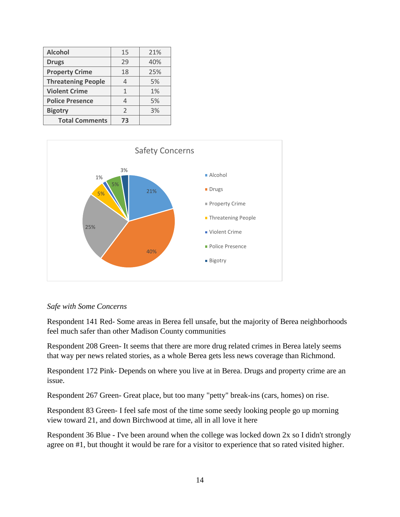| <b>Alcohol</b>            | 15 | 21% |
|---------------------------|----|-----|
| <b>Drugs</b>              | 29 | 40% |
| <b>Property Crime</b>     | 18 | 25% |
| <b>Threatening People</b> |    | 5%  |
| <b>Violent Crime</b>      | 1  | 1%  |
| <b>Police Presence</b>    |    | 5%  |
| <b>Bigotry</b>            | 2  | 3%  |
| <b>Total Comments</b>     | 73 |     |



#### *Safe with Some Concerns*

Respondent 141 Red- Some areas in Berea fell unsafe, but the majority of Berea neighborhoods feel much safer than other Madison County communities

Respondent 208 Green- It seems that there are more drug related crimes in Berea lately seems that way per news related stories, as a whole Berea gets less news coverage than Richmond.

Respondent 172 Pink- Depends on where you live at in Berea. Drugs and property crime are an issue.

Respondent 267 Green- Great place, but too many "petty" break-ins (cars, homes) on rise.

Respondent 83 Green- I feel safe most of the time some seedy looking people go up morning view toward 21, and down Birchwood at time, all in all love it here

Respondent 36 Blue - I've been around when the college was locked down 2x so I didn't strongly agree on #1, but thought it would be rare for a visitor to experience that so rated visited higher.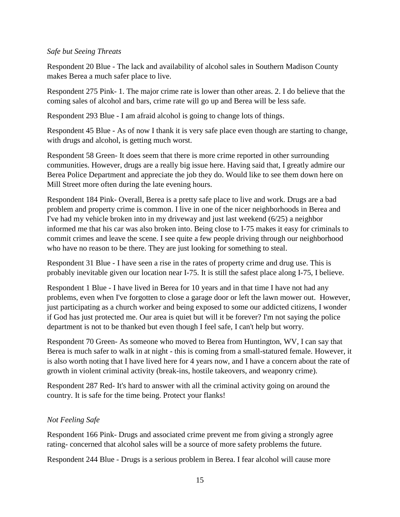### *Safe but Seeing Threats*

Respondent 20 Blue - The lack and availability of alcohol sales in Southern Madison County makes Berea a much safer place to live.

Respondent 275 Pink- 1. The major crime rate is lower than other areas. 2. I do believe that the coming sales of alcohol and bars, crime rate will go up and Berea will be less safe.

Respondent 293 Blue - I am afraid alcohol is going to change lots of things.

Respondent 45 Blue - As of now I thank it is very safe place even though are starting to change, with drugs and alcohol, is getting much worst.

Respondent 58 Green- It does seem that there is more crime reported in other surrounding communities. However, drugs are a really big issue here. Having said that, I greatly admire our Berea Police Department and appreciate the job they do. Would like to see them down here on Mill Street more often during the late evening hours.

Respondent 184 Pink- Overall, Berea is a pretty safe place to live and work. Drugs are a bad problem and property crime is common. I live in one of the nicer neighborhoods in Berea and I've had my vehicle broken into in my driveway and just last weekend (6/25) a neighbor informed me that his car was also broken into. Being close to I-75 makes it easy for criminals to commit crimes and leave the scene. I see quite a few people driving through our neighborhood who have no reason to be there. They are just looking for something to steal.

Respondent 31 Blue - I have seen a rise in the rates of property crime and drug use. This is probably inevitable given our location near I-75. It is still the safest place along I-75, I believe.

Respondent 1 Blue - I have lived in Berea for 10 years and in that time I have not had any problems, even when I've forgotten to close a garage door or left the lawn mower out. However, just participating as a church worker and being exposed to some our addicted citizens, I wonder if God has just protected me. Our area is quiet but will it be forever? I'm not saying the police department is not to be thanked but even though I feel safe, I can't help but worry.

Respondent 70 Green- As someone who moved to Berea from Huntington, WV, I can say that Berea is much safer to walk in at night - this is coming from a small-statured female. However, it is also worth noting that I have lived here for 4 years now, and I have a concern about the rate of growth in violent criminal activity (break-ins, hostile takeovers, and weaponry crime).

Respondent 287 Red- It's hard to answer with all the criminal activity going on around the country. It is safe for the time being. Protect your flanks!

# *Not Feeling Safe*

Respondent 166 Pink- Drugs and associated crime prevent me from giving a strongly agree rating- concerned that alcohol sales will be a source of more safety problems the future.

Respondent 244 Blue - Drugs is a serious problem in Berea. I fear alcohol will cause more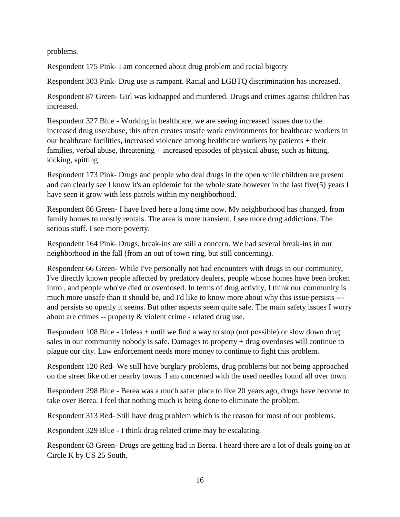problems.

Respondent 175 Pink- I am concerned about drug problem and racial bigotry

Respondent 303 Pink- Drug use is rampant. Racial and LGBTQ discrimination has increased.

Respondent 87 Green- Girl was kidnapped and murdered. Drugs and crimes against children has increased.

Respondent 327 Blue - Working in healthcare, we are seeing increased issues due to the increased drug use/abuse, this often creates unsafe work environments for healthcare workers in our healthcare facilities, increased violence among healthcare workers by patients + their families, verbal abuse, threatening + increased episodes of physical abuse, such as hitting, kicking, spitting.

Respondent 173 Pink- Drugs and people who deal drugs in the open while children are present and can clearly see I know it's an epidemic for the whole state however in the last five(5) years I have seen it grow with less patrols within my neighborhood.

Respondent 86 Green- I have lived here a long time now. My neighborhood has changed, from family homes to mostly rentals. The area is more transient. I see more drug addictions. The serious stuff. I see more poverty.

Respondent 164 Pink- Drugs, break-ins are still a concern. We had several break-ins in our neighborhood in the fall (from an out of town ring, but still concerning).

Respondent 66 Green- While I've personally not had encounters with drugs in our community, I've directly known people affected by predatory dealers, people whose homes have been broken intro , and people who've died or overdosed. In terms of drug activity, I think our community is much more unsafe than it should be, and I'd like to know more about why this issue persists -- and persists so openly it seems. But other aspects seem quite safe. The main safety issues I worry about are crimes -- property & violent crime - related drug use.

Respondent 108 Blue - Unless + until we find a way to stop (not possible) or slow down drug sales in our community nobody is safe. Damages to property + drug overdoses will continue to plague our city. Law enforcement needs more money to continue to fight this problem.

Respondent 120 Red- We still have burglary problems, drug problems but not being approached on the street like other nearby towns. I am concerned with the used needles found all over town.

Respondent 298 Blue - Berea was a much safer place to live 20 years ago, drugs have become to take over Berea. I feel that nothing much is being done to eliminate the problem.

Respondent 313 Red- Still have drug problem which is the reason for most of our problems.

Respondent 329 Blue - I think drug related crime may be escalating.

Respondent 63 Green- Drugs are getting bad in Berea. I heard there are a lot of deals going on at Circle K by US 25 South.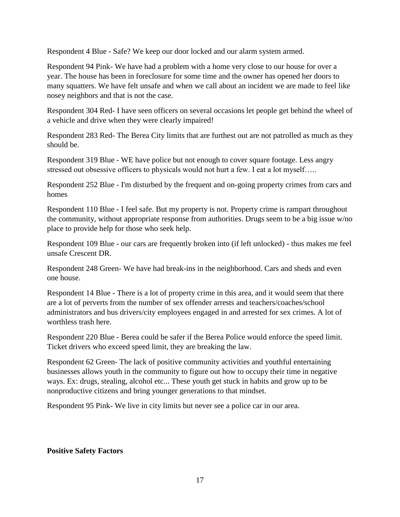Respondent 4 Blue - Safe? We keep our door locked and our alarm system armed.

Respondent 94 Pink- We have had a problem with a home very close to our house for over a year. The house has been in foreclosure for some time and the owner has opened her doors to many squatters. We have felt unsafe and when we call about an incident we are made to feel like nosey neighbors and that is not the case.

Respondent 304 Red- I have seen officers on several occasions let people get behind the wheel of a vehicle and drive when they were clearly impaired!

Respondent 283 Red- The Berea City limits that are furthest out are not patrolled as much as they should be.

Respondent 319 Blue - WE have police but not enough to cover square footage. Less angry stressed out obsessive officers to physicals would not hurt a few. I eat a lot myself…..

Respondent 252 Blue - I'm disturbed by the frequent and on-going property crimes from cars and homes

Respondent 110 Blue - I feel safe. But my property is not. Property crime is rampart throughout the community, without appropriate response from authorities. Drugs seem to be a big issue w/no place to provide help for those who seek help.

Respondent 109 Blue - our cars are frequently broken into (if left unlocked) - thus makes me feel unsafe Crescent DR.

Respondent 248 Green- We have had break-ins in the neighborhood. Cars and sheds and even one house.

Respondent 14 Blue - There is a lot of property crime in this area, and it would seem that there are a lot of perverts from the number of sex offender arrests and teachers/coaches/school administrators and bus drivers/city employees engaged in and arrested for sex crimes. A lot of worthless trash here.

Respondent 220 Blue - Berea could be safer if the Berea Police would enforce the speed limit. Ticket drivers who exceed speed limit, they are breaking the law.

Respondent 62 Green- The lack of positive community activities and youthful entertaining businesses allows youth in the community to figure out how to occupy their time in negative ways. Ex: drugs, stealing, alcohol etc... These youth get stuck in habits and grow up to be nonproductive citizens and bring younger generations to that mindset.

Respondent 95 Pink- We live in city limits but never see a police car in our area.

# **Positive Safety Factors**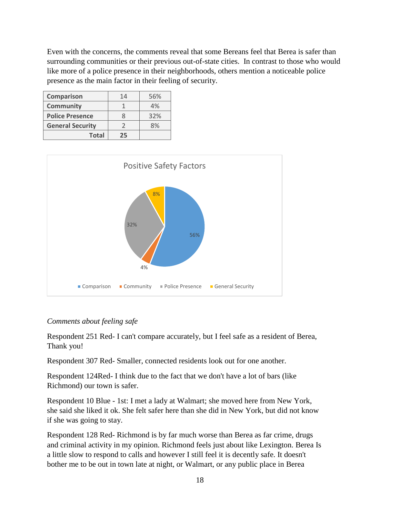Even with the concerns, the comments reveal that some Bereans feel that Berea is safer than surrounding communities or their previous out-of-state cities. In contrast to those who would like more of a police presence in their neighborhoods, others mention a noticeable police presence as the main factor in their feeling of security.

| <b>Comparison</b>       | 14 | 56% |
|-------------------------|----|-----|
| <b>Community</b>        |    | 4%  |
| <b>Police Presence</b>  |    | 32% |
| <b>General Security</b> |    | 8%  |
| <b>Total</b>            | フら |     |



#### *Comments about feeling safe*

Respondent 251 Red- I can't compare accurately, but I feel safe as a resident of Berea, Thank you!

Respondent 307 Red- Smaller, connected residents look out for one another.

Respondent 124Red- I think due to the fact that we don't have a lot of bars (like Richmond) our town is safer.

Respondent 10 Blue - 1st: I met a lady at Walmart; she moved here from New York, she said she liked it ok. She felt safer here than she did in New York, but did not know if she was going to stay.

Respondent 128 Red- Richmond is by far much worse than Berea as far crime, drugs and criminal activity in my opinion. Richmond feels just about like Lexington. Berea Is a little slow to respond to calls and however I still feel it is decently safe. It doesn't bother me to be out in town late at night, or Walmart, or any public place in Berea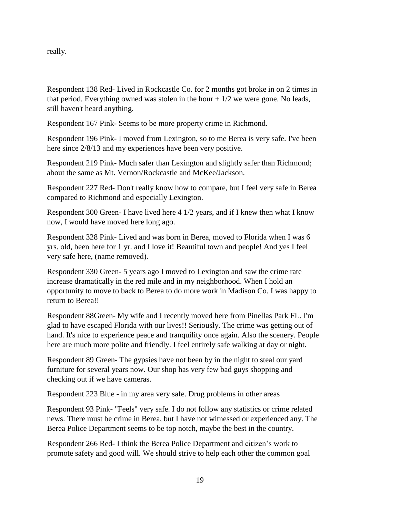really.

Respondent 138 Red- Lived in Rockcastle Co. for 2 months got broke in on 2 times in that period. Everything owned was stolen in the hour  $+1/2$  we were gone. No leads, still haven't heard anything.

Respondent 167 Pink- Seems to be more property crime in Richmond.

Respondent 196 Pink- I moved from Lexington, so to me Berea is very safe. I've been here since  $2/8/13$  and my experiences have been very positive.

Respondent 219 Pink- Much safer than Lexington and slightly safer than Richmond; about the same as Mt. Vernon/Rockcastle and McKee/Jackson.

Respondent 227 Red- Don't really know how to compare, but I feel very safe in Berea compared to Richmond and especially Lexington.

Respondent 300 Green- I have lived here 4 1/2 years, and if I knew then what I know now, I would have moved here long ago.

Respondent 328 Pink- Lived and was born in Berea, moved to Florida when I was 6 yrs. old, been here for 1 yr. and I love it! Beautiful town and people! And yes I feel very safe here, (name removed).

Respondent 330 Green- 5 years ago I moved to Lexington and saw the crime rate increase dramatically in the red mile and in my neighborhood. When I hold an opportunity to move to back to Berea to do more work in Madison Co. I was happy to return to Berea!!

Respondent 88Green- My wife and I recently moved here from Pinellas Park FL. I'm glad to have escaped Florida with our lives!! Seriously. The crime was getting out of hand. It's nice to experience peace and tranquility once again. Also the scenery. People here are much more polite and friendly. I feel entirely safe walking at day or night.

Respondent 89 Green- The gypsies have not been by in the night to steal our yard furniture for several years now. Our shop has very few bad guys shopping and checking out if we have cameras.

Respondent 223 Blue - in my area very safe. Drug problems in other areas

Respondent 93 Pink- "Feels" very safe. I do not follow any statistics or crime related news. There must be crime in Berea, but I have not witnessed or experienced any. The Berea Police Department seems to be top notch, maybe the best in the country.

Respondent 266 Red- I think the Berea Police Department and citizen's work to promote safety and good will. We should strive to help each other the common goal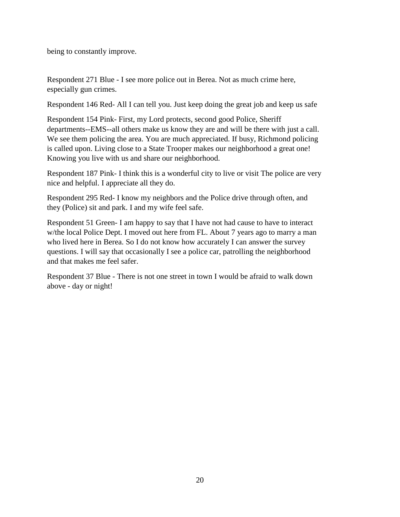being to constantly improve.

Respondent 271 Blue - I see more police out in Berea. Not as much crime here, especially gun crimes.

Respondent 146 Red- All I can tell you. Just keep doing the great job and keep us safe

Respondent 154 Pink- First, my Lord protects, second good Police, Sheriff departments--EMS--all others make us know they are and will be there with just a call. We see them policing the area. You are much appreciated. If busy, Richmond policing is called upon. Living close to a State Trooper makes our neighborhood a great one! Knowing you live with us and share our neighborhood.

Respondent 187 Pink- I think this is a wonderful city to live or visit The police are very nice and helpful. I appreciate all they do.

Respondent 295 Red- I know my neighbors and the Police drive through often, and they (Police) sit and park. I and my wife feel safe.

Respondent 51 Green- I am happy to say that I have not had cause to have to interact w/the local Police Dept. I moved out here from FL. About 7 years ago to marry a man who lived here in Berea. So I do not know how accurately I can answer the survey questions. I will say that occasionally I see a police car, patrolling the neighborhood and that makes me feel safer.

Respondent 37 Blue - There is not one street in town I would be afraid to walk down above - day or night!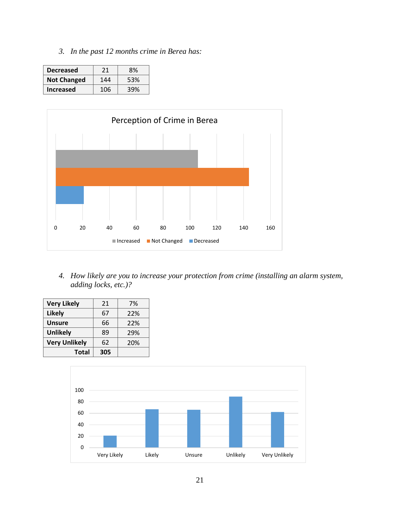*3. In the past 12 months crime in Berea has:*

| <b>Decreased</b>   | 21  | 8%  |
|--------------------|-----|-----|
| <b>Not Changed</b> | 144 | 53% |
| Increased          | 106 | 39% |



*4. How likely are you to increase your protection from crime (installing an alarm system, adding locks, etc.)?*

| <b>Very Likely</b>   | 21  | 7%  |
|----------------------|-----|-----|
| <b>Likely</b>        | 67  | 22% |
| <b>Unsure</b>        | 66  | 22% |
| <b>Unlikely</b>      | 89  | 29% |
| <b>Very Unlikely</b> | 62  | 20% |
| <b>Total</b>         | 305 |     |

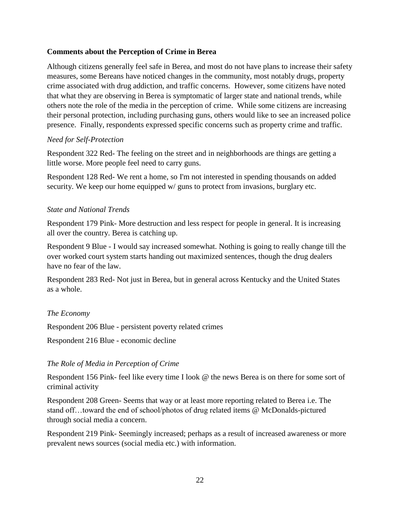# **Comments about the Perception of Crime in Berea**

Although citizens generally feel safe in Berea, and most do not have plans to increase their safety measures, some Bereans have noticed changes in the community, most notably drugs, property crime associated with drug addiction, and traffic concerns. However, some citizens have noted that what they are observing in Berea is symptomatic of larger state and national trends, while others note the role of the media in the perception of crime. While some citizens are increasing their personal protection, including purchasing guns, others would like to see an increased police presence. Finally, respondents expressed specific concerns such as property crime and traffic.

#### *Need for Self-Protection*

Respondent 322 Red- The feeling on the street and in neighborhoods are things are getting a little worse. More people feel need to carry guns.

Respondent 128 Red- We rent a home, so I'm not interested in spending thousands on added security. We keep our home equipped w/ guns to protect from invasions, burglary etc.

### *State and National Trends*

Respondent 179 Pink- More destruction and less respect for people in general. It is increasing all over the country. Berea is catching up.

Respondent 9 Blue - I would say increased somewhat. Nothing is going to really change till the over worked court system starts handing out maximized sentences, though the drug dealers have no fear of the law.

Respondent 283 Red- Not just in Berea, but in general across Kentucky and the United States as a whole.

# *The Economy*

Respondent 206 Blue - persistent poverty related crimes

Respondent 216 Blue - economic decline

# *The Role of Media in Perception of Crime*

Respondent 156 Pink- feel like every time I look @ the news Berea is on there for some sort of criminal activity

Respondent 208 Green- Seems that way or at least more reporting related to Berea i.e. The stand off…toward the end of school/photos of drug related items @ McDonalds-pictured through social media a concern.

Respondent 219 Pink- Seemingly increased; perhaps as a result of increased awareness or more prevalent news sources (social media etc.) with information.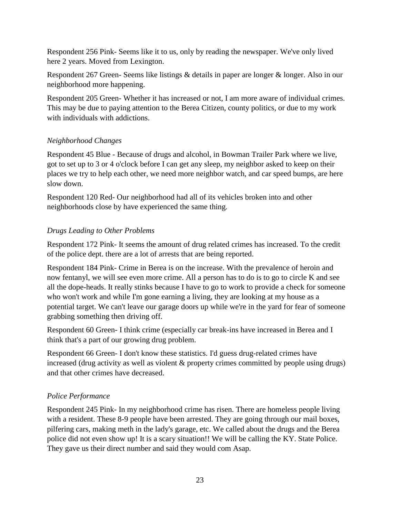Respondent 256 Pink- Seems like it to us, only by reading the newspaper. We've only lived here 2 years. Moved from Lexington.

Respondent 267 Green- Seems like listings & details in paper are longer & longer. Also in our neighborhood more happening.

Respondent 205 Green- Whether it has increased or not, I am more aware of individual crimes. This may be due to paying attention to the Berea Citizen, county politics, or due to my work with individuals with addictions.

# *Neighborhood Changes*

Respondent 45 Blue - Because of drugs and alcohol, in Bowman Trailer Park where we live, got to set up to 3 or 4 o'clock before I can get any sleep, my neighbor asked to keep on their places we try to help each other, we need more neighbor watch, and car speed bumps, are here slow down.

Respondent 120 Red- Our neighborhood had all of its vehicles broken into and other neighborhoods close by have experienced the same thing.

# *Drugs Leading to Other Problems*

Respondent 172 Pink- It seems the amount of drug related crimes has increased. To the credit of the police dept. there are a lot of arrests that are being reported.

Respondent 184 Pink- Crime in Berea is on the increase. With the prevalence of heroin and now fentanyl, we will see even more crime. All a person has to do is to go to circle K and see all the dope-heads. It really stinks because I have to go to work to provide a check for someone who won't work and while I'm gone earning a living, they are looking at my house as a potential target. We can't leave our garage doors up while we're in the yard for fear of someone grabbing something then driving off.

Respondent 60 Green- I think crime (especially car break-ins have increased in Berea and I think that's a part of our growing drug problem.

Respondent 66 Green- I don't know these statistics. I'd guess drug-related crimes have increased (drug activity as well as violent & property crimes committed by people using drugs) and that other crimes have decreased.

# *Police Performance*

Respondent 245 Pink- In my neighborhood crime has risen. There are homeless people living with a resident. These 8-9 people have been arrested. They are going through our mail boxes, pilfering cars, making meth in the lady's garage, etc. We called about the drugs and the Berea police did not even show up! It is a scary situation!! We will be calling the KY. State Police. They gave us their direct number and said they would com Asap.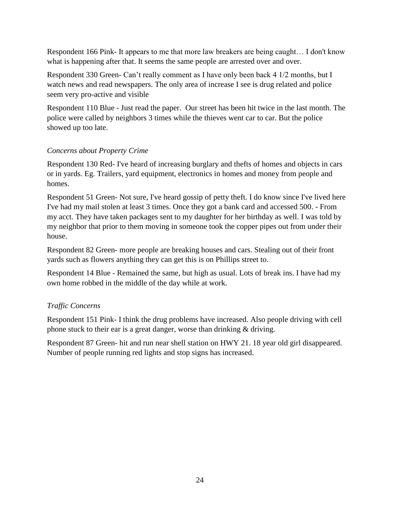Respondent 166 Pink- It appears to me that more law breakers are being caught… I don't know what is happening after that. It seems the same people are arrested over and over.

Respondent 330 Green- Can't really comment as I have only been back 4 1/2 months, but I watch news and read newspapers. The only area of increase I see is drug related and police seem very pro-active and visible

Respondent 110 Blue - Just read the paper. Our street has been hit twice in the last month. The police were called by neighbors 3 times while the thieves went car to car. But the police showed up too late.

# *Concerns about Property Crime*

Respondent 130 Red- I've heard of increasing burglary and thefts of homes and objects in cars or in yards. Eg. Trailers, yard equipment, electronics in homes and money from people and homes.

Respondent 51 Green- Not sure, I've heard gossip of petty theft. I do know since I've lived here I've had my mail stolen at least 3 times. Once they got a bank card and accessed 500. - From my acct. They have taken packages sent to my daughter for her birthday as well. I was told by my neighbor that prior to them moving in someone took the copper pipes out from under their house.

Respondent 82 Green- more people are breaking houses and cars. Stealing out of their front yards such as flowers anything they can get this is on Phillips street to.

Respondent 14 Blue - Remained the same, but high as usual. Lots of break ins. I have had my own home robbed in the middle of the day while at work.

# *Traffic Concerns*

Respondent 151 Pink- I think the drug problems have increased. Also people driving with cell phone stuck to their ear is a great danger, worse than drinking & driving.

Respondent 87 Green- hit and run near shell station on HWY 21. 18 year old girl disappeared. Number of people running red lights and stop signs has increased.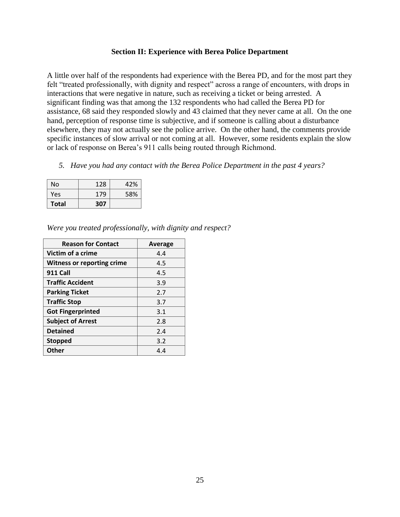#### **Section II: Experience with Berea Police Department**

<span id="page-24-0"></span>A little over half of the respondents had experience with the Berea PD, and for the most part they felt "treated professionally, with dignity and respect" across a range of encounters, with drops in interactions that were negative in nature, such as receiving a ticket or being arrested. A significant finding was that among the 132 respondents who had called the Berea PD for assistance, 68 said they responded slowly and 43 claimed that they never came at all. On the one hand, perception of response time is subjective, and if someone is calling about a disturbance elsewhere, they may not actually see the police arrive. On the other hand, the comments provide specific instances of slow arrival or not coming at all. However, some residents explain the slow or lack of response on Berea's 911 calls being routed through Richmond.

*5. Have you had any contact with the Berea Police Department in the past 4 years?*

| No           | 128 | 42% |
|--------------|-----|-----|
| Yes          | 179 | 58% |
| <b>Total</b> | 307 |     |

| Were you treated professionally, with dignity and respect? |  |  |
|------------------------------------------------------------|--|--|
|                                                            |  |  |

| <b>Reason for Contact</b>         | Average |
|-----------------------------------|---------|
| Victim of a crime                 | 4.4     |
| <b>Witness or reporting crime</b> | 4.5     |
| <b>911 Call</b>                   | 4.5     |
| <b>Traffic Accident</b>           | 3.9     |
| <b>Parking Ticket</b>             | 2.7     |
| <b>Traffic Stop</b>               | 3.7     |
| <b>Got Fingerprinted</b>          | 3.1     |
| <b>Subject of Arrest</b>          | 2.8     |
| <b>Detained</b>                   | 2.4     |
| <b>Stopped</b>                    | 3.2     |
| Other                             | 4.4     |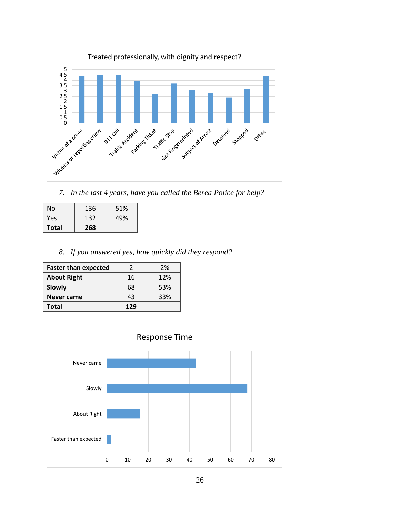

*7. In the last 4 years, have you called the Berea Police for help?*

| No           | 136 | 51% |
|--------------|-----|-----|
| Yes          | 132 | 49% |
| <b>Total</b> | 268 |     |

*8. If you answered yes, how quickly did they respond?*

| <b>Faster than expected</b> |     | 2%  |
|-----------------------------|-----|-----|
| <b>About Right</b>          | 16  | 12% |
| Slowly                      | 68  | 53% |
| <b>Never came</b>           | 43  | 33% |
| Total                       | 129 |     |

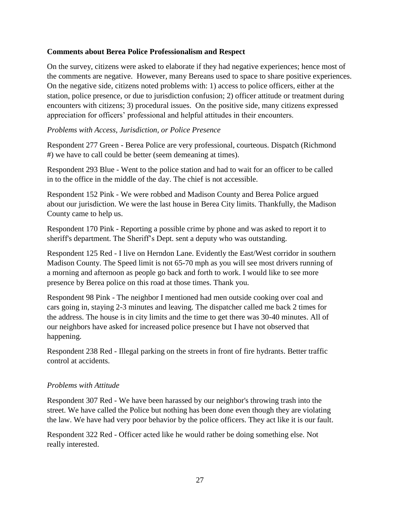### **Comments about Berea Police Professionalism and Respect**

On the survey, citizens were asked to elaborate if they had negative experiences; hence most of the comments are negative. However, many Bereans used to space to share positive experiences. On the negative side, citizens noted problems with: 1) access to police officers, either at the station, police presence, or due to jurisdiction confusion; 2) officer attitude or treatment during encounters with citizens; 3) procedural issues. On the positive side, many citizens expressed appreciation for officers' professional and helpful attitudes in their encounters.

### *Problems with Access, Jurisdiction, or Police Presence*

Respondent 277 Green - Berea Police are very professional, courteous. Dispatch (Richmond #) we have to call could be better (seem demeaning at times).

Respondent 293 Blue - Went to the police station and had to wait for an officer to be called in to the office in the middle of the day. The chief is not accessible.

Respondent 152 Pink - We were robbed and Madison County and Berea Police argued about our jurisdiction. We were the last house in Berea City limits. Thankfully, the Madison County came to help us.

Respondent 170 Pink - Reporting a possible crime by phone and was asked to report it to sheriff's department. The Sheriff's Dept. sent a deputy who was outstanding.

Respondent 125 Red - I live on Herndon Lane. Evidently the East/West corridor in southern Madison County. The Speed limit is not 65-70 mph as you will see most drivers running of a morning and afternoon as people go back and forth to work. I would like to see more presence by Berea police on this road at those times. Thank you.

Respondent 98 Pink - The neighbor I mentioned had men outside cooking over coal and cars going in, staying 2-3 minutes and leaving. The dispatcher called me back 2 times for the address. The house is in city limits and the time to get there was 30-40 minutes. All of our neighbors have asked for increased police presence but I have not observed that happening.

Respondent 238 Red - Illegal parking on the streets in front of fire hydrants. Better traffic control at accidents.

#### *Problems with Attitude*

Respondent 307 Red - We have been harassed by our neighbor's throwing trash into the street. We have called the Police but nothing has been done even though they are violating the law. We have had very poor behavior by the police officers. They act like it is our fault.

Respondent 322 Red - Officer acted like he would rather be doing something else. Not really interested.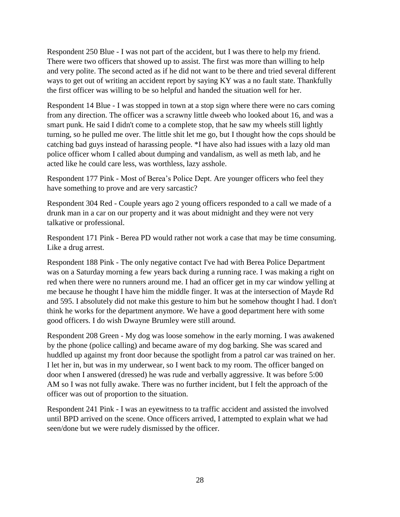Respondent 250 Blue - I was not part of the accident, but I was there to help my friend. There were two officers that showed up to assist. The first was more than willing to help and very polite. The second acted as if he did not want to be there and tried several different ways to get out of writing an accident report by saying KY was a no fault state. Thankfully the first officer was willing to be so helpful and handed the situation well for her.

Respondent 14 Blue - I was stopped in town at a stop sign where there were no cars coming from any direction. The officer was a scrawny little dweeb who looked about 16, and was a smart punk. He said I didn't come to a complete stop, that he saw my wheels still lightly turning, so he pulled me over. The little shit let me go, but I thought how the cops should be catching bad guys instead of harassing people. \*I have also had issues with a lazy old man police officer whom I called about dumping and vandalism, as well as meth lab, and he acted like he could care less, was worthless, lazy asshole.

Respondent 177 Pink - Most of Berea's Police Dept. Are younger officers who feel they have something to prove and are very sarcastic?

Respondent 304 Red - Couple years ago 2 young officers responded to a call we made of a drunk man in a car on our property and it was about midnight and they were not very talkative or professional.

Respondent 171 Pink - Berea PD would rather not work a case that may be time consuming. Like a drug arrest.

Respondent 188 Pink - The only negative contact I've had with Berea Police Department was on a Saturday morning a few years back during a running race. I was making a right on red when there were no runners around me. I had an officer get in my car window yelling at me because he thought I have him the middle finger. It was at the intersection of Mayde Rd and 595. I absolutely did not make this gesture to him but he somehow thought I had. I don't think he works for the department anymore. We have a good department here with some good officers. I do wish Dwayne Brumley were still around.

Respondent 208 Green - My dog was loose somehow in the early morning. I was awakened by the phone (police calling) and became aware of my dog barking. She was scared and huddled up against my front door because the spotlight from a patrol car was trained on her. I let her in, but was in my underwear, so I went back to my room. The officer banged on door when I answered (dressed) he was rude and verbally aggressive. It was before 5:00 AM so I was not fully awake. There was no further incident, but I felt the approach of the officer was out of proportion to the situation.

Respondent 241 Pink - I was an eyewitness to ta traffic accident and assisted the involved until BPD arrived on the scene. Once officers arrived, I attempted to explain what we had seen/done but we were rudely dismissed by the officer.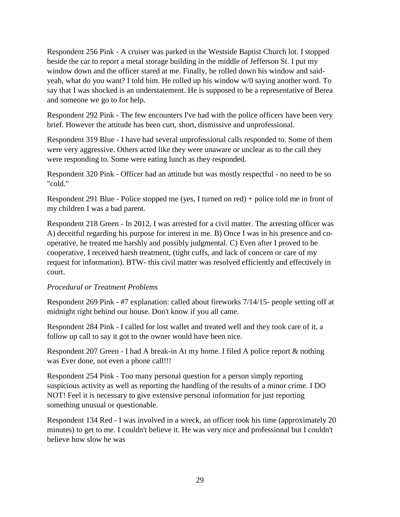Respondent 256 Pink - A cruiser was parked in the Westside Baptist Church lot. I stopped beside the car to report a metal storage building in the middle of Jefferson St. I put my window down and the officer stared at me. Finally, he rolled down his window and saidyeah, what do you want? I told him. He rolled up his window w/0 saying another word. To say that I was shocked is an understatement. He is supposed to be a representative of Berea and someone we go to for help.

Respondent 292 Pink - The few encounters I've had with the police officers have been very brief. However the attitude has been curt, short, dismissive and unprofessional.

Respondent 319 Blue - I have had several unprofessional calls responded to. Some of them were very aggressive. Others acted like they were unaware or unclear as to the call they were responding to. Some were eating lunch as they responded.

Respondent 320 Pink - Officer had an attitude but was mostly respectful - no need to be so "cold."

Respondent 291 Blue - Police stopped me (yes, I turned on red) + police told me in front of my children I was a bad parent.

Respondent 218 Green - In 2012, I was arrested for a civil matter. The arresting officer was A) deceitful regarding his purpose for interest in me. B) Once I was in his presence and cooperative, he treated me harshly and possibly judgmental. C) Even after I proved to be cooperative, I received harsh treatment, (tight cuffs, and lack of concern or care of my request for information). BTW- this civil matter was resolved efficiently and effectively in court.

# *Procedural or Treatment Problems*

Respondent 269 Pink - #7 explanation: called about fireworks 7/14/15- people setting off at midnight right behind our house. Don't know if you all came.

Respondent 284 Pink - I called for lost wallet and treated well and they took care of it, a follow up call to say it got to the owner would have been nice.

Respondent 207 Green - I had A break-in At my home. I filed A police report & nothing was Ever done, not even a phone call!!!

Respondent 254 Pink - Too many personal question for a person simply reporting suspicious activity as well as reporting the handling of the results of a minor crime. I DO NOT! Feel it is necessary to give extensive personal information for just reporting something unusual or questionable.

Respondent 134 Red - I was involved in a wreck, an officer took his time (approximately 20 minutes) to get to me. I couldn't believe it. He was very nice and professional but I couldn't believe how slow he was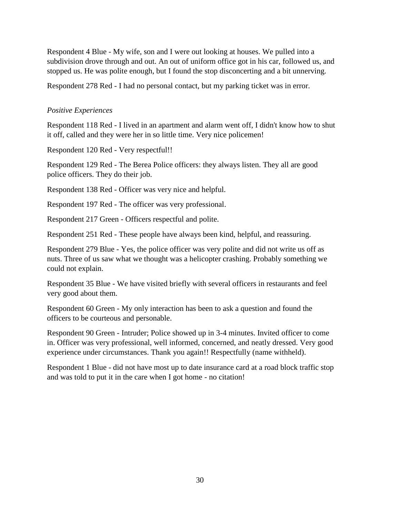Respondent 4 Blue - My wife, son and I were out looking at houses. We pulled into a subdivision drove through and out. An out of uniform office got in his car, followed us, and stopped us. He was polite enough, but I found the stop disconcerting and a bit unnerving.

Respondent 278 Red - I had no personal contact, but my parking ticket was in error.

#### *Positive Experiences*

Respondent 118 Red - I lived in an apartment and alarm went off, I didn't know how to shut it off, called and they were her in so little time. Very nice policemen!

Respondent 120 Red - Very respectful!!

Respondent 129 Red - The Berea Police officers: they always listen. They all are good police officers. They do their job.

Respondent 138 Red - Officer was very nice and helpful.

Respondent 197 Red - The officer was very professional.

Respondent 217 Green - Officers respectful and polite.

Respondent 251 Red - These people have always been kind, helpful, and reassuring.

Respondent 279 Blue - Yes, the police officer was very polite and did not write us off as nuts. Three of us saw what we thought was a helicopter crashing. Probably something we could not explain.

Respondent 35 Blue - We have visited briefly with several officers in restaurants and feel very good about them.

Respondent 60 Green - My only interaction has been to ask a question and found the officers to be courteous and personable.

Respondent 90 Green - Intruder; Police showed up in 3-4 minutes. Invited officer to come in. Officer was very professional, well informed, concerned, and neatly dressed. Very good experience under circumstances. Thank you again!! Respectfully (name withheld).

Respondent 1 Blue - did not have most up to date insurance card at a road block traffic stop and was told to put it in the care when I got home - no citation!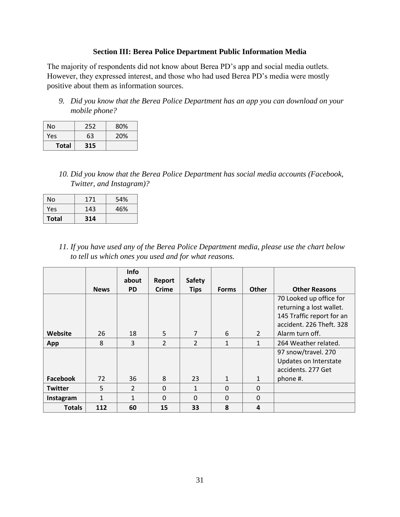### **Section III: Berea Police Department Public Information Media**

<span id="page-30-0"></span>The majority of respondents did not know about Berea PD's app and social media outlets. However, they expressed interest, and those who had used Berea PD's media were mostly positive about them as information sources.

*9. Did you know that the Berea Police Department has an app you can download on your mobile phone?*

| No           | 252 | 80% |
|--------------|-----|-----|
| Yes          | 63  | 20% |
| <b>Total</b> | 315 |     |

*10. Did you know that the Berea Police Department has social media accounts (Facebook, Twitter, and Instagram)?*

| No           | 171 | 54% |
|--------------|-----|-----|
| Yes          | 143 | 46% |
| <b>Total</b> | 314 |     |

*11. If you have used any of the Berea Police Department media, please use the chart below to tell us which ones you used and for what reasons.*

|                |             | <b>Info</b><br>about | Report         | <b>Safety</b>  |              |                |                                                                                                              |
|----------------|-------------|----------------------|----------------|----------------|--------------|----------------|--------------------------------------------------------------------------------------------------------------|
|                | <b>News</b> | <b>PD</b>            | Crime          | <b>Tips</b>    | <b>Forms</b> | <b>Other</b>   | <b>Other Reasons</b>                                                                                         |
|                |             |                      |                |                |              |                | 70 Looked up office for<br>returning a lost wallet.<br>145 Traffic report for an<br>accident. 226 Theft. 328 |
| Website        | 26          | 18                   | 5              | $\overline{7}$ | 6            | $\overline{2}$ | Alarm turn off.                                                                                              |
| App            | 8           | 3                    | $\overline{2}$ | $\overline{2}$ | $\mathbf{1}$ | $\mathbf{1}$   | 264 Weather related.                                                                                         |
|                |             |                      |                |                |              |                | 97 snow/travel. 270<br>Updates on Interstate<br>accidents. 277 Get                                           |
| Facebook       | 72          | 36                   | 8              | 23             | 1            | $\mathbf{1}$   | phone #.                                                                                                     |
| <b>Twitter</b> | 5           | $\overline{2}$       | $\Omega$       | $\mathbf{1}$   | $\Omega$     | $\Omega$       |                                                                                                              |
| Instagram      | 1           | 1                    | $\Omega$       | $\mathbf 0$    | $\Omega$     | $\mathbf 0$    |                                                                                                              |
| <b>Totals</b>  | 112         | 60                   | 15             | 33             | 8            | 4              |                                                                                                              |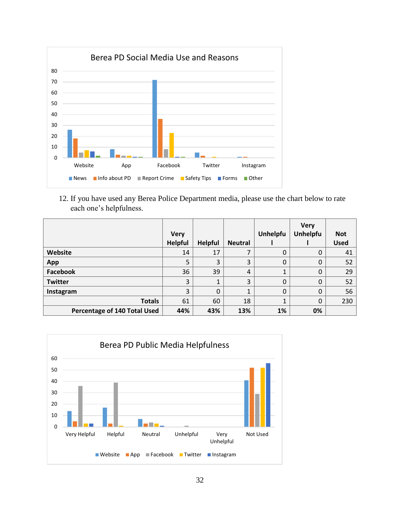

12. If you have used any Berea Police Department media, please use the chart below to rate each one's helpfulness.

|                              | <b>Very</b>    |                |                | Unhelpfu | <b>Very</b><br><b>Unhelpfu</b> | <b>Not</b>  |
|------------------------------|----------------|----------------|----------------|----------|--------------------------------|-------------|
|                              | <b>Helpful</b> | <b>Helpful</b> | <b>Neutral</b> |          |                                | <b>Used</b> |
| Website                      | 14             | 17             |                | 0        | 0                              | 41          |
| App                          | 5              | 3              | 3              | 0        | $\mathbf 0$                    | 52          |
| Facebook                     | 36             | 39             | $\overline{4}$ |          | $\mathbf 0$                    | 29          |
| <b>Twitter</b>               | 3              |                | 3              | 0        | $\mathbf 0$                    | 52          |
| Instagram                    | 3              | 0              |                | 0        | $\mathbf 0$                    | 56          |
| <b>Totals</b>                | 61             | 60             | 18             |          | $\mathbf 0$                    | 230         |
| Percentage of 140 Total Used | 44%            | 43%            | 13%            | 1%       | 0%                             |             |

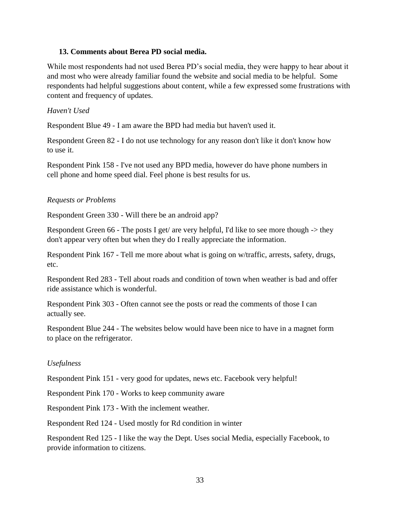### **13. Comments about Berea PD social media.**

While most respondents had not used Berea PD's social media, they were happy to hear about it and most who were already familiar found the website and social media to be helpful. Some respondents had helpful suggestions about content, while a few expressed some frustrations with content and frequency of updates.

#### *Haven't Used*

Respondent Blue 49 - I am aware the BPD had media but haven't used it.

Respondent Green 82 - I do not use technology for any reason don't like it don't know how to use it.

Respondent Pink 158 - I've not used any BPD media, however do have phone numbers in cell phone and home speed dial. Feel phone is best results for us.

### *Requests or Problems*

Respondent Green 330 - Will there be an android app?

Respondent Green 66 - The posts I get/ are very helpful, I'd like to see more though  $\rightarrow$  they don't appear very often but when they do I really appreciate the information.

Respondent Pink 167 - Tell me more about what is going on w/traffic, arrests, safety, drugs, etc.

Respondent Red 283 - Tell about roads and condition of town when weather is bad and offer ride assistance which is wonderful.

Respondent Pink 303 - Often cannot see the posts or read the comments of those I can actually see.

Respondent Blue 244 - The websites below would have been nice to have in a magnet form to place on the refrigerator.

# *Usefulness*

Respondent Pink 151 - very good for updates, news etc. Facebook very helpful!

Respondent Pink 170 - Works to keep community aware

Respondent Pink 173 - With the inclement weather.

Respondent Red 124 - Used mostly for Rd condition in winter

Respondent Red 125 - I like the way the Dept. Uses social Media, especially Facebook, to provide information to citizens.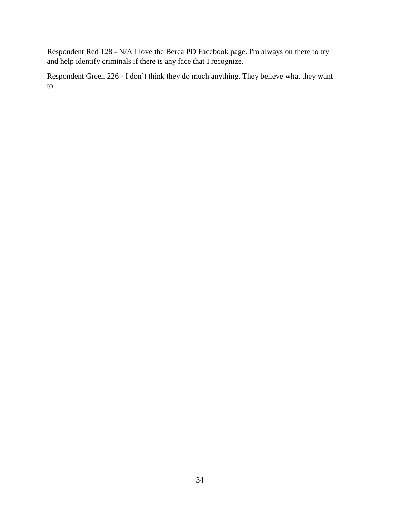Respondent Red 128 - N/A I love the Berea PD Facebook page. I'm always on there to try and help identify criminals if there is any face that I recognize.

Respondent Green 226 - I don't think they do much anything. They believe what they want to.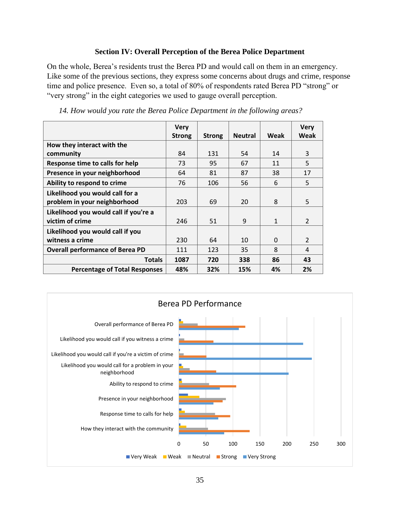### **Section IV: Overall Perception of the Berea Police Department**

<span id="page-34-0"></span>On the whole, Berea's residents trust the Berea PD and would call on them in an emergency. Like some of the previous sections, they express some concerns about drugs and crime, response time and police presence. Even so, a total of 80% of respondents rated Berea PD "strong" or "very strong" in the eight categories we used to gauge overall perception.

| 14. How would you rate the Berea Police Department in the following areas? |  |  |  |  |
|----------------------------------------------------------------------------|--|--|--|--|
|                                                                            |  |  |  |  |

|                                        | <b>Very</b>   |               |                |              | <b>Very</b>    |
|----------------------------------------|---------------|---------------|----------------|--------------|----------------|
|                                        | <b>Strong</b> | <b>Strong</b> | <b>Neutral</b> | Weak         | Weak           |
| How they interact with the             |               |               |                |              |                |
| community                              | 84            | 131           | 54             | 14           | 3              |
| Response time to calls for help        | 73            | 95            | 67             | 11           | 5              |
| Presence in your neighborhood          | 64            | 81            | 87             | 38           | 17             |
| Ability to respond to crime            | 76            | 106           | 56             | 6            | 5              |
| Likelihood you would call for a        |               |               |                |              |                |
| problem in your neighborhood           | 203           | 69            | 20             | 8            | 5              |
| Likelihood you would call if you're a  |               |               |                |              |                |
| victim of crime                        | 246           | 51            | 9              | $\mathbf{1}$ | $\overline{2}$ |
| Likelihood you would call if you       |               |               |                |              |                |
| witness a crime                        | 230           | 64            | 10             | $\Omega$     | $\overline{2}$ |
| <b>Overall performance of Berea PD</b> | 111           | 123           | 35             | 8            | 4              |
| <b>Totals</b>                          | 1087          | 720           | 338            | 86           | 43             |
| <b>Percentage of Total Responses</b>   | 48%           | 32%           | 15%            | 4%           | 2%             |

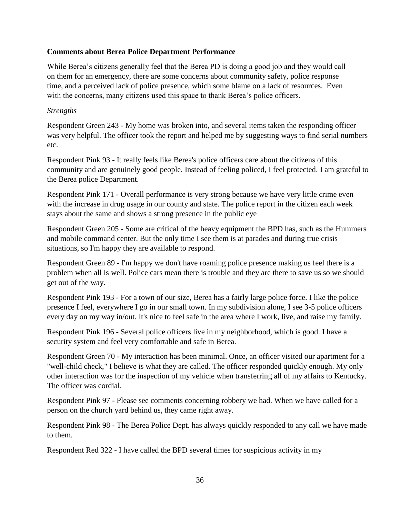# **Comments about Berea Police Department Performance**

While Berea's citizens generally feel that the Berea PD is doing a good job and they would call on them for an emergency, there are some concerns about community safety, police response time, and a perceived lack of police presence, which some blame on a lack of resources. Even with the concerns, many citizens used this space to thank Berea's police officers.

#### *Strengths*

Respondent Green 243 - My home was broken into, and several items taken the responding officer was very helpful. The officer took the report and helped me by suggesting ways to find serial numbers etc.

Respondent Pink 93 - It really feels like Berea's police officers care about the citizens of this community and are genuinely good people. Instead of feeling policed, I feel protected. I am grateful to the Berea police Department.

Respondent Pink 171 - Overall performance is very strong because we have very little crime even with the increase in drug usage in our county and state. The police report in the citizen each week stays about the same and shows a strong presence in the public eye

Respondent Green 205 - Some are critical of the heavy equipment the BPD has, such as the Hummers and mobile command center. But the only time I see them is at parades and during true crisis situations, so I'm happy they are available to respond.

Respondent Green 89 - I'm happy we don't have roaming police presence making us feel there is a problem when all is well. Police cars mean there is trouble and they are there to save us so we should get out of the way.

Respondent Pink 193 - For a town of our size, Berea has a fairly large police force. I like the police presence I feel, everywhere I go in our small town. In my subdivision alone, I see 3-5 police officers every day on my way in/out. It's nice to feel safe in the area where I work, live, and raise my family.

Respondent Pink 196 - Several police officers live in my neighborhood, which is good. I have a security system and feel very comfortable and safe in Berea.

Respondent Green 70 - My interaction has been minimal. Once, an officer visited our apartment for a "well-child check," I believe is what they are called. The officer responded quickly enough. My only other interaction was for the inspection of my vehicle when transferring all of my affairs to Kentucky. The officer was cordial.

Respondent Pink 97 - Please see comments concerning robbery we had. When we have called for a person on the church yard behind us, they came right away.

Respondent Pink 98 - The Berea Police Dept. has always quickly responded to any call we have made to them.

Respondent Red 322 - I have called the BPD several times for suspicious activity in my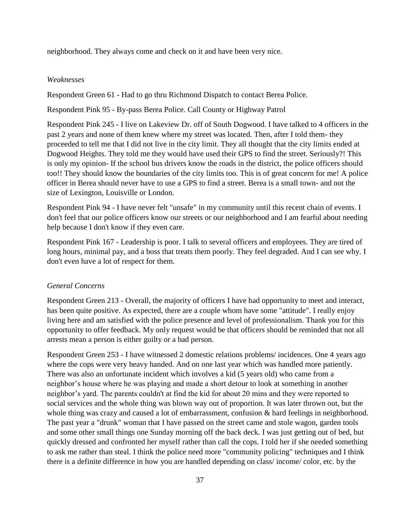neighborhood. They always come and check on it and have been very nice.

## *Weaknesses*

Respondent Green 61 - Had to go thru Richmond Dispatch to contact Berea Police.

Respondent Pink 95 - By-pass Berea Police. Call County or Highway Patrol

Respondent Pink 245 - I live on Lakeview Dr. off of South Dogwood. I have talked to 4 officers in the past 2 years and none of them knew where my street was located. Then, after I told them- they proceeded to tell me that I did not live in the city limit. They all thought that the city limits ended at Dogwood Heights. They told me they would have used their GPS to find the street. Seriously?! This is only my opinion- If the school bus drivers know the roads in the district, the police officers should too!! They should know the boundaries of the city limits too. This is of great concern for me! A police officer in Berea should never have to use a GPS to find a street. Berea is a small town- and not the size of Lexington, Louisville or London.

Respondent Pink 94 - I have never felt "unsafe" in my community until this recent chain of events. I don't feel that our police officers know our streets or our neighborhood and I am fearful about needing help because I don't know if they even care.

Respondent Pink 167 - Leadership is poor. I talk to several officers and employees. They are tired of long hours, minimal pay, and a boss that treats them poorly. They feel degraded. And I can see why. I don't even have a lot of respect for them.

# *General Concerns*

Respondent Green 213 - Overall, the majority of officers I have had opportunity to meet and interact, has been quite positive. As expected, there are a couple whom have some "attitude". I really enjoy living here and am satisfied with the police presence and level of professionalism. Thank you for this opportunity to offer feedback. My only request would be that officers should be reminded that not all arrests mean a person is either guilty or a bad person.

Respondent Green 253 - I have witnessed 2 domestic relations problems/ incidences. One 4 years ago where the cops were very heavy handed. And on one last year which was handled more patiently. There was also an unfortunate incident which involves a kid (5 years old) who came from a neighbor's house where he was playing and made a short detour to look at something in another neighbor's yard. The parents couldn't at find the kid for about 20 mins and they were reported to social services and the whole thing was blown way out of proportion. It was later thrown out, but the whole thing was crazy and caused a lot of embarrassment, confusion & hard feelings in neighborhood. The past year a "drunk" woman that I have passed on the street came and stole wagon, garden tools and some other small things one Sunday morning off the back deck. I was just getting out of bed, but quickly dressed and confronted her myself rather than call the cops. I told her if she needed something to ask me rather than steal. I think the police need more "community policing" techniques and I think there is a definite difference in how you are handled depending on class/ income/ color, etc. by the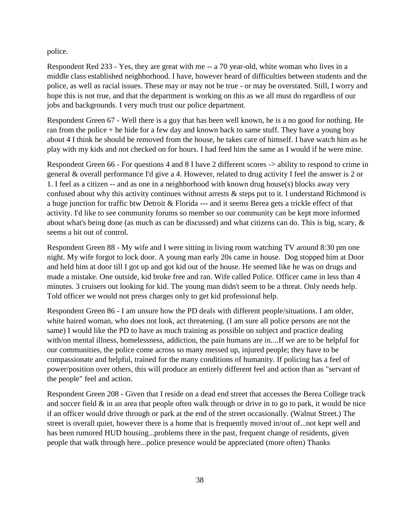police.

Respondent Red 233 - Yes, they are great with me -- a 70 year-old, white woman who lives in a middle class established neighborhood. I have, however heard of difficulties between students and the police, as well as racial issues. These may or may not be true - or may be overstated. Still, I worry and hope this is not true, and that the department is working on this as we all must do regardless of our jobs and backgrounds. I very much trust our police department.

Respondent Green 67 - Well there is a guy that has been well known, he is a no good for nothing. He ran from the police  $+$  he hide for a few day and known back to same stuff. They have a young boy about 4 I think he should be removed from the house, he takes care of himself. I have watch him as he play with my kids and not checked on for hours. I had feed him the same as I would if he were mine.

Respondent Green 66 - For questions 4 and 8 I have 2 different scores -> ability to respond to crime in general & overall performance I'd give a 4. However, related to drug activity I feel the answer is 2 or 1. I feel as a citizen -- and as one in a neighborhood with known drug house(s) blocks away very confused about why this activity continues without arrests & steps put to it. I understand Richmond is a huge junction for traffic btw Detroit & Florida --- and it seems Berea gets a trickle effect of that activity. I'd like to see community forums so member so our community can be kept more informed about what's being done (as much as can be discussed) and what citizens can do. This is big, scary, & seems a bit out of control.

Respondent Green 88 - My wife and I were sitting in living room watching TV around 8:30 pm one night. My wife forgot to lock door. A young man early 20s came in house. Dog stopped him at Door and held him at door till I got up and got kid out of the house. He seemed like he was on drugs and made a mistake. One outside, kid broke free and ran. Wife called Police. Officer came in less than 4 minutes. 3 cruisers out looking for kid. The young man didn't seem to be a threat. Only needs help. Told officer we would not press charges only to get kid professional help.

Respondent Green 86 - I am unsure how the PD deals with different people/situations. I am older, white haired woman, who does not look, act threatening. (I am sure all police persons are not the same) I would like the PD to have as much training as possible on subject and practice dealing with/on mental illness, homelessness, addiction, the pain humans are in....If we are to be helpful for our communities, the police come across so many messed up, injured people; they have to be compassionate and helpful, trained for the many conditions of humanity. If policing has a feel of power/position over others, this will produce an entirely different feel and action than as "servant of the people" feel and action.

Respondent Green 208 - Given that I reside on a dead end street that accesses the Berea College track and soccer field  $\&$  in an area that people often walk through or drive in to go to park, it would be nice if an officer would drive through or park at the end of the street occasionally. (Walnut Street.) The street is overall quiet, however there is a home that is frequently moved in/out of...not kept well and has been rumored HUD housing...problems there in the past, frequent change of residents, given people that walk through here...police presence would be appreciated (more often) Thanks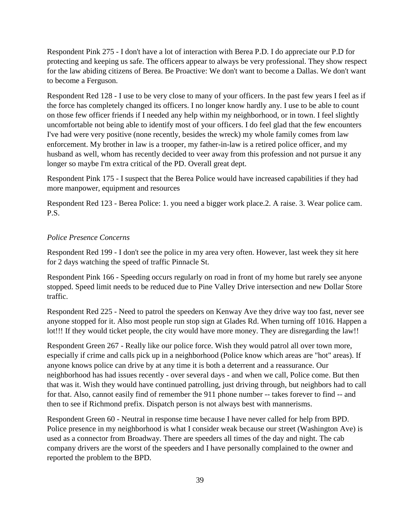Respondent Pink 275 - I don't have a lot of interaction with Berea P.D. I do appreciate our P.D for protecting and keeping us safe. The officers appear to always be very professional. They show respect for the law abiding citizens of Berea. Be Proactive: We don't want to become a Dallas. We don't want to become a Ferguson.

Respondent Red 128 - I use to be very close to many of your officers. In the past few years I feel as if the force has completely changed its officers. I no longer know hardly any. I use to be able to count on those few officer friends if I needed any help within my neighborhood, or in town. I feel slightly uncomfortable not being able to identify most of your officers. I do feel glad that the few encounters I've had were very positive (none recently, besides the wreck) my whole family comes from law enforcement. My brother in law is a trooper, my father-in-law is a retired police officer, and my husband as well, whom has recently decided to veer away from this profession and not pursue it any longer so maybe I'm extra critical of the PD. Overall great dept.

Respondent Pink 175 - I suspect that the Berea Police would have increased capabilities if they had more manpower, equipment and resources

Respondent Red 123 - Berea Police: 1. you need a bigger work place.2. A raise. 3. Wear police cam. P.S.

# *Police Presence Concerns*

Respondent Red 199 - I don't see the police in my area very often. However, last week they sit here for 2 days watching the speed of traffic Pinnacle St.

Respondent Pink 166 - Speeding occurs regularly on road in front of my home but rarely see anyone stopped. Speed limit needs to be reduced due to Pine Valley Drive intersection and new Dollar Store traffic.

Respondent Red 225 - Need to patrol the speeders on Kenway Ave they drive way too fast, never see anyone stopped for it. Also most people run stop sign at Glades Rd. When turning off 1016. Happen a lot!!! If they would ticket people, the city would have more money. They are disregarding the law!!

Respondent Green 267 - Really like our police force. Wish they would patrol all over town more, especially if crime and calls pick up in a neighborhood (Police know which areas are "hot" areas). If anyone knows police can drive by at any time it is both a deterrent and a reassurance. Our neighborhood has had issues recently - over several days - and when we call, Police come. But then that was it. Wish they would have continued patrolling, just driving through, but neighbors had to call for that. Also, cannot easily find of remember the 911 phone number -- takes forever to find -- and then to see if Richmond prefix. Dispatch person is not always best with mannerisms.

Respondent Green 60 - Neutral in response time because I have never called for help from BPD. Police presence in my neighborhood is what I consider weak because our street (Washington Ave) is used as a connector from Broadway. There are speeders all times of the day and night. The cab company drivers are the worst of the speeders and I have personally complained to the owner and reported the problem to the BPD.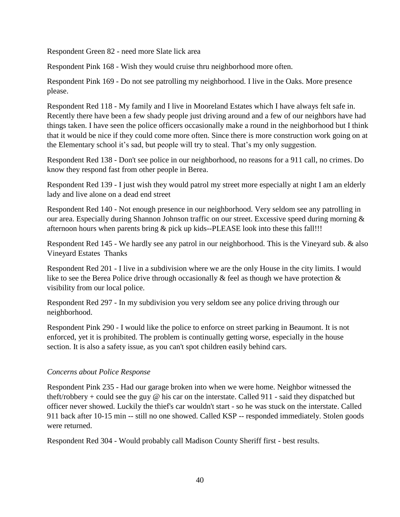Respondent Green 82 - need more Slate lick area

Respondent Pink 168 - Wish they would cruise thru neighborhood more often.

Respondent Pink 169 - Do not see patrolling my neighborhood. I live in the Oaks. More presence please.

Respondent Red 118 - My family and I live in Mooreland Estates which I have always felt safe in. Recently there have been a few shady people just driving around and a few of our neighbors have had things taken. I have seen the police officers occasionally make a round in the neighborhood but I think that it would be nice if they could come more often. Since there is more construction work going on at the Elementary school it's sad, but people will try to steal. That's my only suggestion.

Respondent Red 138 - Don't see police in our neighborhood, no reasons for a 911 call, no crimes. Do know they respond fast from other people in Berea.

Respondent Red 139 - I just wish they would patrol my street more especially at night I am an elderly lady and live alone on a dead end street

Respondent Red 140 - Not enough presence in our neighborhood. Very seldom see any patrolling in our area. Especially during Shannon Johnson traffic on our street. Excessive speed during morning & afternoon hours when parents bring & pick up kids--PLEASE look into these this fall!!!

Respondent Red 145 - We hardly see any patrol in our neighborhood. This is the Vineyard sub. & also Vineyard Estates Thanks

Respondent Red 201 - I live in a subdivision where we are the only House in the city limits. I would like to see the Berea Police drive through occasionally  $\&$  feel as though we have protection  $\&$ visibility from our local police.

Respondent Red 297 - In my subdivision you very seldom see any police driving through our neighborhood.

Respondent Pink 290 - I would like the police to enforce on street parking in Beaumont. It is not enforced, yet it is prohibited. The problem is continually getting worse, especially in the house section. It is also a safety issue, as you can't spot children easily behind cars.

# *Concerns about Police Response*

Respondent Pink 235 - Had our garage broken into when we were home. Neighbor witnessed the theft/robbery + could see the guy @ his car on the interstate. Called 911 - said they dispatched but officer never showed. Luckily the thief's car wouldn't start - so he was stuck on the interstate. Called 911 back after 10-15 min -- still no one showed. Called KSP -- responded immediately. Stolen goods were returned.

Respondent Red 304 - Would probably call Madison County Sheriff first - best results.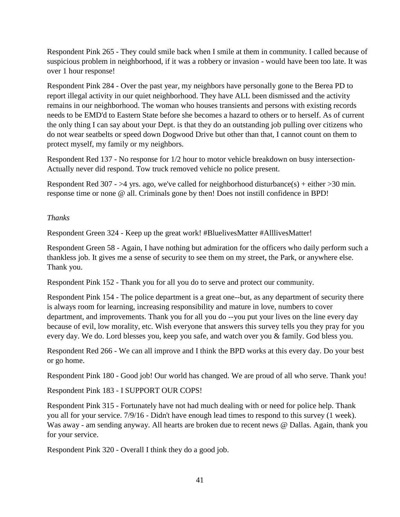Respondent Pink 265 - They could smile back when I smile at them in community. I called because of suspicious problem in neighborhood, if it was a robbery or invasion - would have been too late. It was over 1 hour response!

Respondent Pink 284 - Over the past year, my neighbors have personally gone to the Berea PD to report illegal activity in our quiet neighborhood. They have ALL been dismissed and the activity remains in our neighborhood. The woman who houses transients and persons with existing records needs to be EMD'd to Eastern State before she becomes a hazard to others or to herself. As of current the only thing I can say about your Dept. is that they do an outstanding job pulling over citizens who do not wear seatbelts or speed down Dogwood Drive but other than that, I cannot count on them to protect myself, my family or my neighbors.

Respondent Red 137 - No response for 1/2 hour to motor vehicle breakdown on busy intersection-Actually never did respond. Tow truck removed vehicle no police present.

Respondent Red 307 - >4 yrs. ago, we've called for neighborhood disturbance(s) + either > 30 min. response time or none @ all. Criminals gone by then! Does not instill confidence in BPD!

# *Thanks*

Respondent Green 324 - Keep up the great work! #BluelivesMatter #AlllivesMatter!

Respondent Green 58 - Again, I have nothing but admiration for the officers who daily perform such a thankless job. It gives me a sense of security to see them on my street, the Park, or anywhere else. Thank you.

Respondent Pink 152 - Thank you for all you do to serve and protect our community.

Respondent Pink 154 - The police department is a great one--but, as any department of security there is always room for learning, increasing responsibility and mature in love, numbers to cover department, and improvements. Thank you for all you do --you put your lives on the line every day because of evil, low morality, etc. Wish everyone that answers this survey tells you they pray for you every day. We do. Lord blesses you, keep you safe, and watch over you & family. God bless you.

Respondent Red 266 - We can all improve and I think the BPD works at this every day. Do your best or go home.

Respondent Pink 180 - Good job! Our world has changed. We are proud of all who serve. Thank you!

Respondent Pink 183 - I SUPPORT OUR COPS!

Respondent Pink 315 - Fortunately have not had much dealing with or need for police help. Thank you all for your service. 7/9/16 - Didn't have enough lead times to respond to this survey (1 week). Was away - am sending anyway. All hearts are broken due to recent news @ Dallas. Again, thank you for your service.

Respondent Pink 320 - Overall I think they do a good job.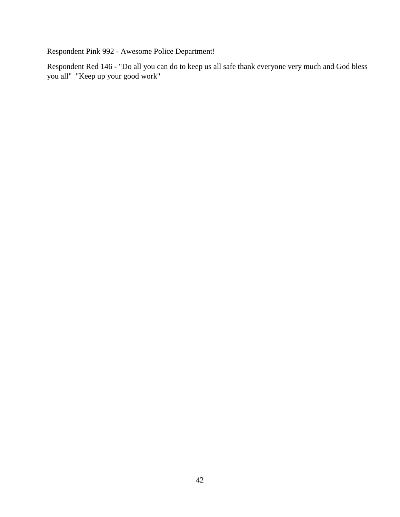Respondent Pink 992 - Awesome Police Department!

Respondent Red 146 - "Do all you can do to keep us all safe thank everyone very much and God bless you all" "Keep up your good work"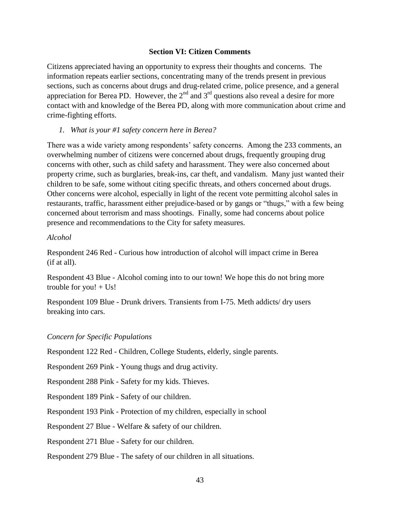#### **Section VI: Citizen Comments**

<span id="page-42-0"></span>Citizens appreciated having an opportunity to express their thoughts and concerns. The information repeats earlier sections, concentrating many of the trends present in previous sections, such as concerns about drugs and drug-related crime, police presence, and a general appreciation for Berea PD. However, the  $2<sup>nd</sup>$  and  $3<sup>rd</sup>$  questions also reveal a desire for more contact with and knowledge of the Berea PD, along with more communication about crime and crime-fighting efforts.

*1. What is your #1 safety concern here in Berea?*

There was a wide variety among respondents' safety concerns. Among the 233 comments, an overwhelming number of citizens were concerned about drugs, frequently grouping drug concerns with other, such as child safety and harassment. They were also concerned about property crime, such as burglaries, break-ins, car theft, and vandalism. Many just wanted their children to be safe, some without citing specific threats, and others concerned about drugs. Other concerns were alcohol, especially in light of the recent vote permitting alcohol sales in restaurants, traffic, harassment either prejudice-based or by gangs or "thugs," with a few being concerned about terrorism and mass shootings. Finally, some had concerns about police presence and recommendations to the City for safety measures.

#### *Alcohol*

Respondent 246 Red - Curious how introduction of alcohol will impact crime in Berea (if at all).

Respondent 43 Blue - Alcohol coming into to our town! We hope this do not bring more trouble for you!  $+$  Us!

Respondent 109 Blue - Drunk drivers. Transients from I-75. Meth addicts/ dry users breaking into cars.

#### *Concern for Specific Populations*

Respondent 122 Red - Children, College Students, elderly, single parents.

Respondent 269 Pink - Young thugs and drug activity.

Respondent 288 Pink - Safety for my kids. Thieves.

Respondent 189 Pink - Safety of our children.

Respondent 193 Pink - Protection of my children, especially in school

Respondent 27 Blue - Welfare & safety of our children.

Respondent 271 Blue - Safety for our children.

Respondent 279 Blue - The safety of our children in all situations.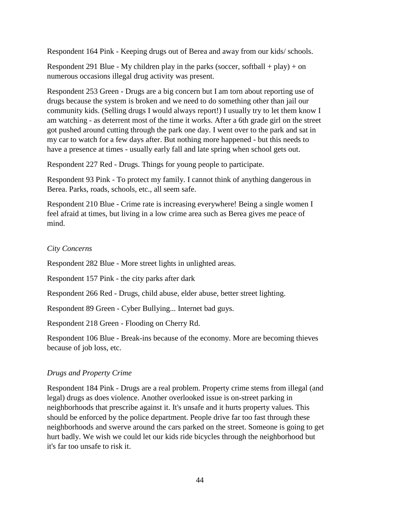Respondent 164 Pink - Keeping drugs out of Berea and away from our kids/ schools.

Respondent 291 Blue - My children play in the parks (soccer, softball + play) + on numerous occasions illegal drug activity was present.

Respondent 253 Green - Drugs are a big concern but I am torn about reporting use of drugs because the system is broken and we need to do something other than jail our community kids. (Selling drugs I would always report!) I usually try to let them know I am watching - as deterrent most of the time it works. After a 6th grade girl on the street got pushed around cutting through the park one day. I went over to the park and sat in my car to watch for a few days after. But nothing more happened - but this needs to have a presence at times - usually early fall and late spring when school gets out.

Respondent 227 Red - Drugs. Things for young people to participate.

Respondent 93 Pink - To protect my family. I cannot think of anything dangerous in Berea. Parks, roads, schools, etc., all seem safe.

Respondent 210 Blue - Crime rate is increasing everywhere! Being a single women I feel afraid at times, but living in a low crime area such as Berea gives me peace of mind.

### *City Concerns*

Respondent 282 Blue - More street lights in unlighted areas.

Respondent 157 Pink - the city parks after dark

Respondent 266 Red - Drugs, child abuse, elder abuse, better street lighting.

Respondent 89 Green - Cyber Bullying... Internet bad guys.

Respondent 218 Green - Flooding on Cherry Rd.

Respondent 106 Blue - Break-ins because of the economy. More are becoming thieves because of job loss, etc.

# *Drugs and Property Crime*

Respondent 184 Pink - Drugs are a real problem. Property crime stems from illegal (and legal) drugs as does violence. Another overlooked issue is on-street parking in neighborhoods that prescribe against it. It's unsafe and it hurts property values. This should be enforced by the police department. People drive far too fast through these neighborhoods and swerve around the cars parked on the street. Someone is going to get hurt badly. We wish we could let our kids ride bicycles through the neighborhood but it's far too unsafe to risk it.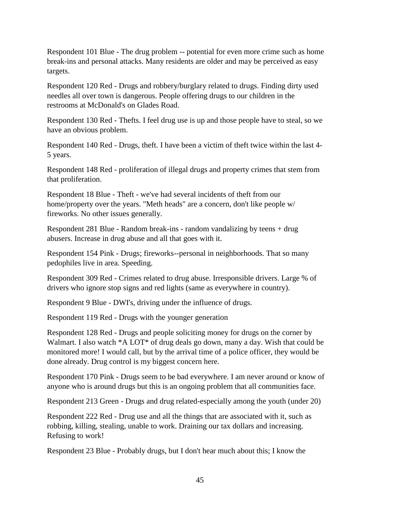Respondent 101 Blue - The drug problem -- potential for even more crime such as home break-ins and personal attacks. Many residents are older and may be perceived as easy targets.

Respondent 120 Red - Drugs and robbery/burglary related to drugs. Finding dirty used needles all over town is dangerous. People offering drugs to our children in the restrooms at McDonald's on Glades Road.

Respondent 130 Red - Thefts. I feel drug use is up and those people have to steal, so we have an obvious problem.

Respondent 140 Red - Drugs, theft. I have been a victim of theft twice within the last 4- 5 years.

Respondent 148 Red - proliferation of illegal drugs and property crimes that stem from that proliferation.

Respondent 18 Blue - Theft - we've had several incidents of theft from our home/property over the years. "Meth heads" are a concern, don't like people w/ fireworks. No other issues generally.

Respondent 281 Blue - Random break-ins - random vandalizing by teens + drug abusers. Increase in drug abuse and all that goes with it.

Respondent 154 Pink - Drugs; fireworks--personal in neighborhoods. That so many pedophiles live in area. Speeding.

Respondent 309 Red - Crimes related to drug abuse. Irresponsible drivers. Large % of drivers who ignore stop signs and red lights (same as everywhere in country).

Respondent 9 Blue - DWI's, driving under the influence of drugs.

Respondent 119 Red - Drugs with the younger generation

Respondent 128 Red - Drugs and people soliciting money for drugs on the corner by Walmart. I also watch \*A LOT\* of drug deals go down, many a day. Wish that could be monitored more! I would call, but by the arrival time of a police officer, they would be done already. Drug control is my biggest concern here.

Respondent 170 Pink - Drugs seem to be bad everywhere. I am never around or know of anyone who is around drugs but this is an ongoing problem that all communities face.

Respondent 213 Green - Drugs and drug related-especially among the youth (under 20)

Respondent 222 Red - Drug use and all the things that are associated with it, such as robbing, killing, stealing, unable to work. Draining our tax dollars and increasing. Refusing to work!

Respondent 23 Blue - Probably drugs, but I don't hear much about this; I know the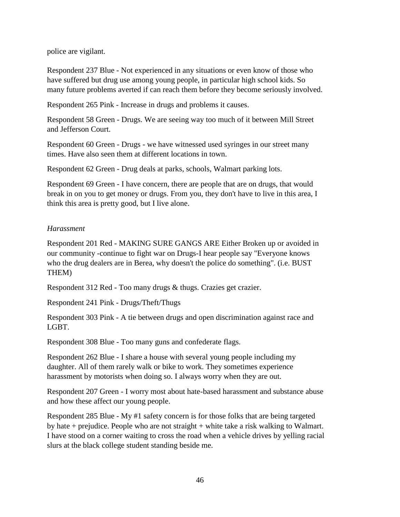police are vigilant.

Respondent 237 Blue - Not experienced in any situations or even know of those who have suffered but drug use among young people, in particular high school kids. So many future problems averted if can reach them before they become seriously involved.

Respondent 265 Pink - Increase in drugs and problems it causes.

Respondent 58 Green - Drugs. We are seeing way too much of it between Mill Street and Jefferson Court.

Respondent 60 Green - Drugs - we have witnessed used syringes in our street many times. Have also seen them at different locations in town.

Respondent 62 Green - Drug deals at parks, schools, Walmart parking lots.

Respondent 69 Green - I have concern, there are people that are on drugs, that would break in on you to get money or drugs. From you, they don't have to live in this area, I think this area is pretty good, but I live alone.

### *Harassment*

Respondent 201 Red - MAKING SURE GANGS ARE Either Broken up or avoided in our community -continue to fight war on Drugs-I hear people say "Everyone knows who the drug dealers are in Berea, why doesn't the police do something". (i.e. BUST THEM)

Respondent 312 Red - Too many drugs & thugs. Crazies get crazier.

Respondent 241 Pink - Drugs/Theft/Thugs

Respondent 303 Pink - A tie between drugs and open discrimination against race and LGBT.

Respondent 308 Blue - Too many guns and confederate flags.

Respondent 262 Blue - I share a house with several young people including my daughter. All of them rarely walk or bike to work. They sometimes experience harassment by motorists when doing so. I always worry when they are out.

Respondent 207 Green - I worry most about hate-based harassment and substance abuse and how these affect our young people.

Respondent 285 Blue - My #1 safety concern is for those folks that are being targeted by hate  $+$  prejudice. People who are not straight  $+$  white take a risk walking to Walmart. I have stood on a corner waiting to cross the road when a vehicle drives by yelling racial slurs at the black college student standing beside me.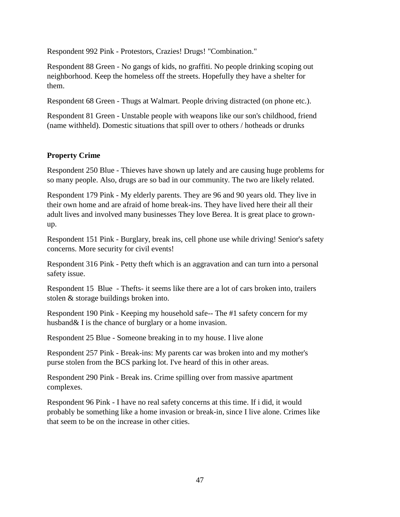Respondent 992 Pink - Protestors, Crazies! Drugs! "Combination."

Respondent 88 Green - No gangs of kids, no graffiti. No people drinking scoping out neighborhood. Keep the homeless off the streets. Hopefully they have a shelter for them.

Respondent 68 Green - Thugs at Walmart. People driving distracted (on phone etc.).

Respondent 81 Green - Unstable people with weapons like our son's childhood, friend (name withheld). Domestic situations that spill over to others / hotheads or drunks

# **Property Crime**

Respondent 250 Blue - Thieves have shown up lately and are causing huge problems for so many people. Also, drugs are so bad in our community. The two are likely related.

Respondent 179 Pink - My elderly parents. They are 96 and 90 years old. They live in their own home and are afraid of home break-ins. They have lived here their all their adult lives and involved many businesses They love Berea. It is great place to grownup.

Respondent 151 Pink - Burglary, break ins, cell phone use while driving! Senior's safety concerns. More security for civil events!

Respondent 316 Pink - Petty theft which is an aggravation and can turn into a personal safety issue.

Respondent 15 Blue - Thefts- it seems like there are a lot of cars broken into, trailers stolen & storage buildings broken into.

Respondent 190 Pink - Keeping my household safe-- The #1 safety concern for my husband& I is the chance of burglary or a home invasion.

Respondent 25 Blue - Someone breaking in to my house. I live alone

Respondent 257 Pink - Break-ins: My parents car was broken into and my mother's purse stolen from the BCS parking lot. I've heard of this in other areas.

Respondent 290 Pink - Break ins. Crime spilling over from massive apartment complexes.

Respondent 96 Pink - I have no real safety concerns at this time. If i did, it would probably be something like a home invasion or break-in, since I live alone. Crimes like that seem to be on the increase in other cities.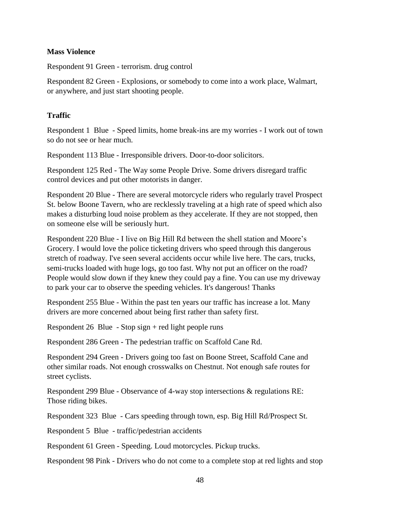#### **Mass Violence**

Respondent 91 Green - terrorism. drug control

Respondent 82 Green - Explosions, or somebody to come into a work place, Walmart, or anywhere, and just start shooting people.

#### **Traffic**

Respondent 1 Blue - Speed limits, home break-ins are my worries - I work out of town so do not see or hear much.

Respondent 113 Blue - Irresponsible drivers. Door-to-door solicitors.

Respondent 125 Red - The Way some People Drive. Some drivers disregard traffic control devices and put other motorists in danger.

Respondent 20 Blue - There are several motorcycle riders who regularly travel Prospect St. below Boone Tavern, who are recklessly traveling at a high rate of speed which also makes a disturbing loud noise problem as they accelerate. If they are not stopped, then on someone else will be seriously hurt.

Respondent 220 Blue - I live on Big Hill Rd between the shell station and Moore's Grocery. I would love the police ticketing drivers who speed through this dangerous stretch of roadway. I've seen several accidents occur while live here. The cars, trucks, semi-trucks loaded with huge logs, go too fast. Why not put an officer on the road? People would slow down if they knew they could pay a fine. You can use my driveway to park your car to observe the speeding vehicles. It's dangerous! Thanks

Respondent 255 Blue - Within the past ten years our traffic has increase a lot. Many drivers are more concerned about being first rather than safety first.

Respondent 26 Blue - Stop sign + red light people runs

Respondent 286 Green - The pedestrian traffic on Scaffold Cane Rd.

Respondent 294 Green - Drivers going too fast on Boone Street, Scaffold Cane and other similar roads. Not enough crosswalks on Chestnut. Not enough safe routes for street cyclists.

Respondent 299 Blue - Observance of 4-way stop intersections & regulations RE: Those riding bikes.

Respondent 323 Blue - Cars speeding through town, esp. Big Hill Rd/Prospect St.

Respondent 5 Blue - traffic/pedestrian accidents

Respondent 61 Green - Speeding. Loud motorcycles. Pickup trucks.

Respondent 98 Pink - Drivers who do not come to a complete stop at red lights and stop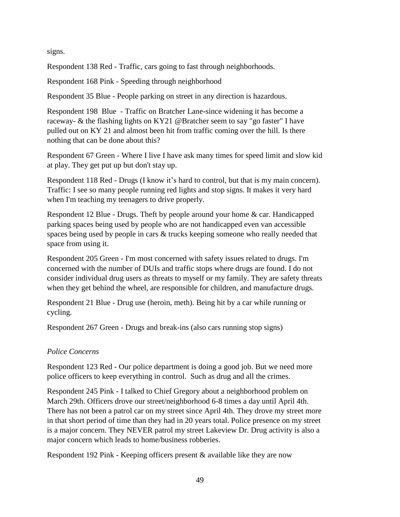signs.

Respondent 138 Red - Traffic, cars going to fast through neighborhoods.

Respondent 168 Pink - Speeding through neighborhood

Respondent 35 Blue - People parking on street in any direction is hazardous.

Respondent 198 Blue - Traffic on Bratcher Lane-since widening it has become a raceway- & the flashing lights on KY21 @Bratcher seem to say "go faster" I have pulled out on KY 21 and almost been hit from traffic coming over the hill. Is there nothing that can be done about this?

Respondent 67 Green - Where I live I have ask many times for speed limit and slow kid at play. They get put up but don't stay up.

Respondent 118 Red - Drugs (I know it's hard to control, but that is my main concern). Traffic: I see so many people running red lights and stop signs. It makes it very hard when I'm teaching my teenagers to drive properly.

Respondent 12 Blue - Drugs. Theft by people around your home & car. Handicapped parking spaces being used by people who are not handicapped even van accessible spaces being used by people in cars & trucks keeping someone who really needed that space from using it.

Respondent 205 Green - I'm most concerned with safety issues related to drugs. I'm concerned with the number of DUIs and traffic stops where drugs are found. I do not consider individual drug users as threats to myself or my family. They are safety threats when they get behind the wheel, are responsible for children, and manufacture drugs.

Respondent 21 Blue - Drug use (heroin, meth). Being hit by a car while running or cycling.

Respondent 267 Green - Drugs and break-ins (also cars running stop signs)

# *Police Concerns*

Respondent 123 Red - Our police department is doing a good job. But we need more police officers to keep everything in control. Such as drug and all the crimes.

Respondent 245 Pink - I talked to Chief Gregory about a neighborhood problem on March 29th. Officers drove our street/neighborhood 6-8 times a day until April 4th. There has not been a patrol car on my street since April 4th. They drove my street more in that short period of time than they had in 20 years total. Police presence on my street is a major concern. They NEVER patrol my street Lakeview Dr. Drug activity is also a major concern which leads to home/business robberies.

Respondent 192 Pink - Keeping officers present & available like they are now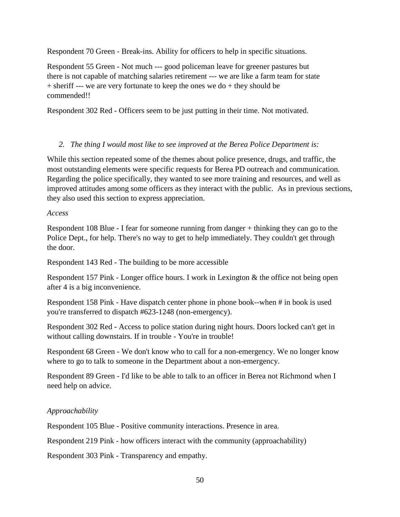Respondent 70 Green - Break-ins. Ability for officers to help in specific situations.

Respondent 55 Green - Not much --- good policeman leave for greener pastures but there is not capable of matching salaries retirement --- we are like a farm team for state + sheriff --- we are very fortunate to keep the ones we do + they should be commended!!

Respondent 302 Red - Officers seem to be just putting in their time. Not motivated.

# *2. The thing I would most like to see improved at the Berea Police Department is:*

While this section repeated some of the themes about police presence, drugs, and traffic, the most outstanding elements were specific requests for Berea PD outreach and communication. Regarding the police specifically, they wanted to see more training and resources, and well as improved attitudes among some officers as they interact with the public. As in previous sections, they also used this section to express appreciation.

#### *Access*

Respondent 108 Blue - I fear for someone running from danger + thinking they can go to the Police Dept., for help. There's no way to get to help immediately. They couldn't get through the door.

Respondent 143 Red - The building to be more accessible

Respondent 157 Pink - Longer office hours. I work in Lexington & the office not being open after 4 is a big inconvenience.

Respondent 158 Pink - Have dispatch center phone in phone book--when # in book is used you're transferred to dispatch #623-1248 (non-emergency).

Respondent 302 Red - Access to police station during night hours. Doors locked can't get in without calling downstairs. If in trouble - You're in trouble!

Respondent 68 Green - We don't know who to call for a non-emergency. We no longer know where to go to talk to someone in the Department about a non-emergency.

Respondent 89 Green - I'd like to be able to talk to an officer in Berea not Richmond when I need help on advice.

# *Approachability*

Respondent 105 Blue - Positive community interactions. Presence in area.

Respondent 219 Pink - how officers interact with the community (approachability)

Respondent 303 Pink - Transparency and empathy.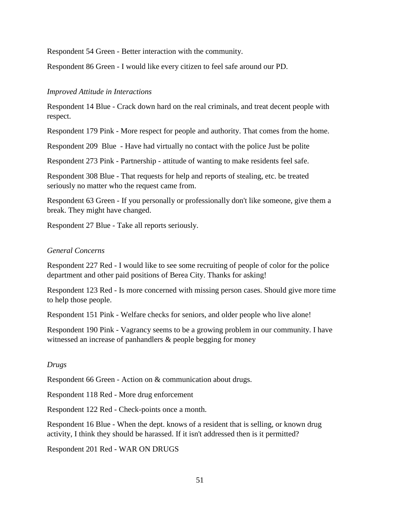Respondent 54 Green - Better interaction with the community.

Respondent 86 Green - I would like every citizen to feel safe around our PD.

#### *Improved Attitude in Interactions*

Respondent 14 Blue - Crack down hard on the real criminals, and treat decent people with respect.

Respondent 179 Pink - More respect for people and authority. That comes from the home.

Respondent 209 Blue - Have had virtually no contact with the police Just be polite

Respondent 273 Pink - Partnership - attitude of wanting to make residents feel safe.

Respondent 308 Blue - That requests for help and reports of stealing, etc. be treated seriously no matter who the request came from.

Respondent 63 Green - If you personally or professionally don't like someone, give them a break. They might have changed.

Respondent 27 Blue - Take all reports seriously.

#### *General Concerns*

Respondent 227 Red - I would like to see some recruiting of people of color for the police department and other paid positions of Berea City. Thanks for asking!

Respondent 123 Red - Is more concerned with missing person cases. Should give more time to help those people.

Respondent 151 Pink - Welfare checks for seniors, and older people who live alone!

Respondent 190 Pink - Vagrancy seems to be a growing problem in our community. I have witnessed an increase of panhandlers & people begging for money

#### *Drugs*

Respondent 66 Green - Action on & communication about drugs.

Respondent 118 Red - More drug enforcement

Respondent 122 Red - Check-points once a month.

Respondent 16 Blue - When the dept. knows of a resident that is selling, or known drug activity, I think they should be harassed. If it isn't addressed then is it permitted?

Respondent 201 Red - WAR ON DRUGS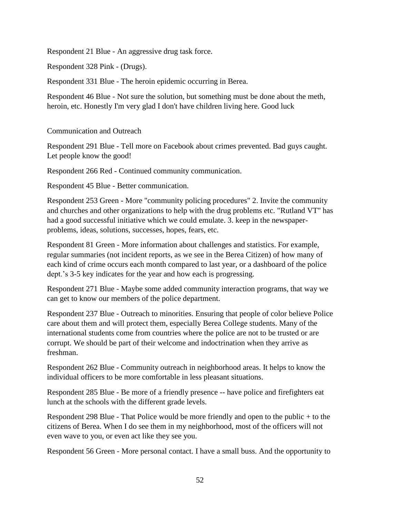Respondent 21 Blue - An aggressive drug task force.

Respondent 328 Pink - (Drugs).

Respondent 331 Blue - The heroin epidemic occurring in Berea.

Respondent 46 Blue - Not sure the solution, but something must be done about the meth, heroin, etc. Honestly I'm very glad I don't have children living here. Good luck

Communication and Outreach

Respondent 291 Blue - Tell more on Facebook about crimes prevented. Bad guys caught. Let people know the good!

Respondent 266 Red - Continued community communication.

Respondent 45 Blue - Better communication.

Respondent 253 Green - More "community policing procedures" 2. Invite the community and churches and other organizations to help with the drug problems etc. "Rutland VT" has had a good successful initiative which we could emulate. 3. keep in the newspaperproblems, ideas, solutions, successes, hopes, fears, etc.

Respondent 81 Green - More information about challenges and statistics. For example, regular summaries (not incident reports, as we see in the Berea Citizen) of how many of each kind of crime occurs each month compared to last year, or a dashboard of the police dept.'s 3-5 key indicates for the year and how each is progressing.

Respondent 271 Blue - Maybe some added community interaction programs, that way we can get to know our members of the police department.

Respondent 237 Blue - Outreach to minorities. Ensuring that people of color believe Police care about them and will protect them, especially Berea College students. Many of the international students come from countries where the police are not to be trusted or are corrupt. We should be part of their welcome and indoctrination when they arrive as freshman.

Respondent 262 Blue - Community outreach in neighborhood areas. It helps to know the individual officers to be more comfortable in less pleasant situations.

Respondent 285 Blue - Be more of a friendly presence -- have police and firefighters eat lunch at the schools with the different grade levels.

Respondent 298 Blue - That Police would be more friendly and open to the public + to the citizens of Berea. When I do see them in my neighborhood, most of the officers will not even wave to you, or even act like they see you.

Respondent 56 Green - More personal contact. I have a small buss. And the opportunity to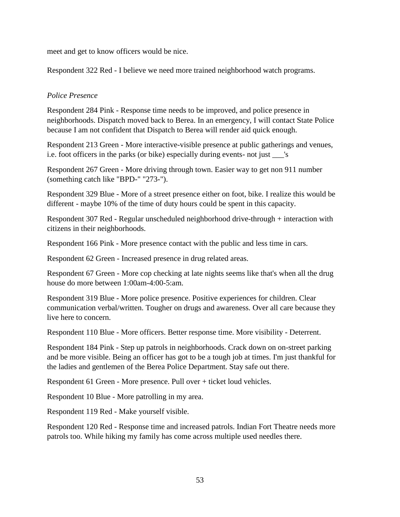meet and get to know officers would be nice.

Respondent 322 Red - I believe we need more trained neighborhood watch programs.

## *Police Presence*

Respondent 284 Pink - Response time needs to be improved, and police presence in neighborhoods. Dispatch moved back to Berea. In an emergency, I will contact State Police because I am not confident that Dispatch to Berea will render aid quick enough.

Respondent 213 Green - More interactive-visible presence at public gatherings and venues, i.e. foot officers in the parks (or bike) especially during events- not just s

Respondent 267 Green - More driving through town. Easier way to get non 911 number (something catch like "BPD-" "273-").

Respondent 329 Blue - More of a street presence either on foot, bike. I realize this would be different - maybe 10% of the time of duty hours could be spent in this capacity.

Respondent 307 Red - Regular unscheduled neighborhood drive-through + interaction with citizens in their neighborhoods.

Respondent 166 Pink - More presence contact with the public and less time in cars.

Respondent 62 Green - Increased presence in drug related areas.

Respondent 67 Green - More cop checking at late nights seems like that's when all the drug house do more between 1:00am-4:00-5:am.

Respondent 319 Blue - More police presence. Positive experiences for children. Clear communication verbal/written. Tougher on drugs and awareness. Over all care because they live here to concern.

Respondent 110 Blue - More officers. Better response time. More visibility - Deterrent.

Respondent 184 Pink - Step up patrols in neighborhoods. Crack down on on-street parking and be more visible. Being an officer has got to be a tough job at times. I'm just thankful for the ladies and gentlemen of the Berea Police Department. Stay safe out there.

Respondent 61 Green - More presence. Pull over + ticket loud vehicles.

Respondent 10 Blue - More patrolling in my area.

Respondent 119 Red - Make yourself visible.

Respondent 120 Red - Response time and increased patrols. Indian Fort Theatre needs more patrols too. While hiking my family has come across multiple used needles there.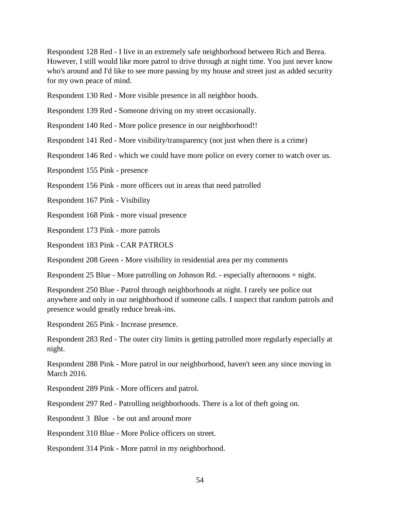Respondent 128 Red - I live in an extremely safe neighborhood between Rich and Berea. However, I still would like more patrol to drive through at night time. You just never know who's around and I'd like to see more passing by my house and street just as added security for my own peace of mind.

Respondent 130 Red - More visible presence in all neighbor hoods.

Respondent 139 Red - Someone driving on my street occasionally.

Respondent 140 Red - More police presence in our neighborhood!!

Respondent 141 Red - More visibility/transparency (not just when there is a crime)

Respondent 146 Red - which we could have more police on every corner to watch over us.

Respondent 155 Pink - presence

Respondent 156 Pink - more officers out in areas that need patrolled

Respondent 167 Pink - Visibility

Respondent 168 Pink - more visual presence

Respondent 173 Pink - more patrols

Respondent 183 Pink - CAR PATROLS

Respondent 208 Green - More visibility in residential area per my comments

Respondent 25 Blue - More patrolling on Johnson Rd. - especially afternoons + night.

Respondent 250 Blue - Patrol through neighborhoods at night. I rarely see police out anywhere and only in our neighborhood if someone calls. I suspect that random patrols and presence would greatly reduce break-ins.

Respondent 265 Pink - Increase presence.

Respondent 283 Red - The outer city limits is getting patrolled more regularly especially at night.

Respondent 288 Pink - More patrol in our neighborhood, haven't seen any since moving in March 2016.

Respondent 289 Pink - More officers and patrol.

Respondent 297 Red - Patrolling neighborhoods. There is a lot of theft going on.

Respondent 3 Blue - be out and around more

Respondent 310 Blue - More Police officers on street.

Respondent 314 Pink - More patrol in my neighborhood.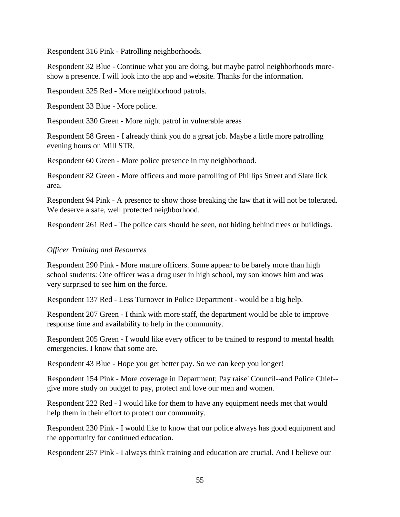Respondent 316 Pink - Patrolling neighborhoods.

Respondent 32 Blue - Continue what you are doing, but maybe patrol neighborhoods moreshow a presence. I will look into the app and website. Thanks for the information.

Respondent 325 Red - More neighborhood patrols.

Respondent 33 Blue - More police.

Respondent 330 Green - More night patrol in vulnerable areas

Respondent 58 Green - I already think you do a great job. Maybe a little more patrolling evening hours on Mill STR.

Respondent 60 Green - More police presence in my neighborhood.

Respondent 82 Green - More officers and more patrolling of Phillips Street and Slate lick area.

Respondent 94 Pink - A presence to show those breaking the law that it will not be tolerated. We deserve a safe, well protected neighborhood.

Respondent 261 Red - The police cars should be seen, not hiding behind trees or buildings.

#### *Officer Training and Resources*

Respondent 290 Pink - More mature officers. Some appear to be barely more than high school students: One officer was a drug user in high school, my son knows him and was very surprised to see him on the force.

Respondent 137 Red - Less Turnover in Police Department - would be a big help.

Respondent 207 Green - I think with more staff, the department would be able to improve response time and availability to help in the community.

Respondent 205 Green - I would like every officer to be trained to respond to mental health emergencies. I know that some are.

Respondent 43 Blue - Hope you get better pay. So we can keep you longer!

Respondent 154 Pink - More coverage in Department; Pay raise' Council--and Police Chief- give more study on budget to pay, protect and love our men and women.

Respondent 222 Red - I would like for them to have any equipment needs met that would help them in their effort to protect our community.

Respondent 230 Pink - I would like to know that our police always has good equipment and the opportunity for continued education.

Respondent 257 Pink - I always think training and education are crucial. And I believe our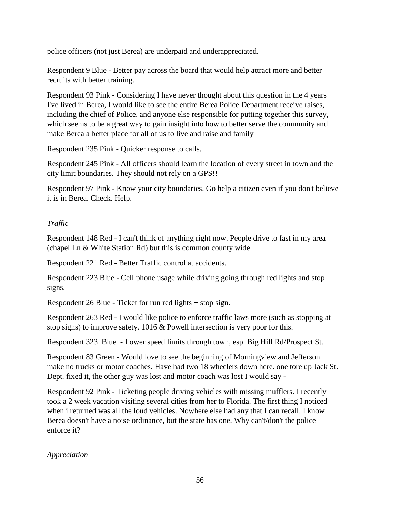police officers (not just Berea) are underpaid and underappreciated.

Respondent 9 Blue - Better pay across the board that would help attract more and better recruits with better training.

Respondent 93 Pink - Considering I have never thought about this question in the 4 years I've lived in Berea, I would like to see the entire Berea Police Department receive raises, including the chief of Police, and anyone else responsible for putting together this survey, which seems to be a great way to gain insight into how to better serve the community and make Berea a better place for all of us to live and raise and family

Respondent 235 Pink - Quicker response to calls.

Respondent 245 Pink - All officers should learn the location of every street in town and the city limit boundaries. They should not rely on a GPS!!

Respondent 97 Pink - Know your city boundaries. Go help a citizen even if you don't believe it is in Berea. Check. Help.

# *Traffic*

Respondent 148 Red - I can't think of anything right now. People drive to fast in my area (chapel Ln & White Station Rd) but this is common county wide.

Respondent 221 Red - Better Traffic control at accidents.

Respondent 223 Blue - Cell phone usage while driving going through red lights and stop signs.

Respondent 26 Blue - Ticket for run red lights + stop sign.

Respondent 263 Red - I would like police to enforce traffic laws more (such as stopping at stop signs) to improve safety. 1016 & Powell intersection is very poor for this.

Respondent 323 Blue - Lower speed limits through town, esp. Big Hill Rd/Prospect St.

Respondent 83 Green - Would love to see the beginning of Morningview and Jefferson make no trucks or motor coaches. Have had two 18 wheelers down here. one tore up Jack St. Dept. fixed it, the other guy was lost and motor coach was lost I would say -

Respondent 92 Pink - Ticketing people driving vehicles with missing mufflers. I recently took a 2 week vacation visiting several cities from her to Florida. The first thing I noticed when i returned was all the loud vehicles. Nowhere else had any that I can recall. I know Berea doesn't have a noise ordinance, but the state has one. Why can't/don't the police enforce it?

*Appreciation*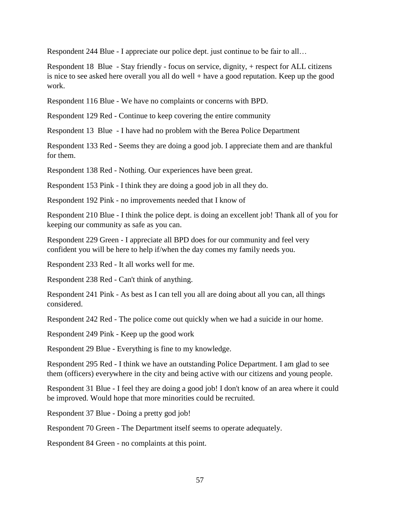Respondent 244 Blue - I appreciate our police dept. just continue to be fair to all…

Respondent 18 Blue - Stay friendly - focus on service, dignity, + respect for ALL citizens is nice to see asked here overall you all do well + have a good reputation. Keep up the good work.

Respondent 116 Blue - We have no complaints or concerns with BPD.

Respondent 129 Red - Continue to keep covering the entire community

Respondent 13 Blue - I have had no problem with the Berea Police Department

Respondent 133 Red - Seems they are doing a good job. I appreciate them and are thankful for them.

Respondent 138 Red - Nothing. Our experiences have been great.

Respondent 153 Pink - I think they are doing a good job in all they do.

Respondent 192 Pink - no improvements needed that I know of

Respondent 210 Blue - I think the police dept. is doing an excellent job! Thank all of you for keeping our community as safe as you can.

Respondent 229 Green - I appreciate all BPD does for our community and feel very confident you will be here to help if/when the day comes my family needs you.

Respondent 233 Red - It all works well for me.

Respondent 238 Red - Can't think of anything.

Respondent 241 Pink - As best as I can tell you all are doing about all you can, all things considered.

Respondent 242 Red - The police come out quickly when we had a suicide in our home.

Respondent 249 Pink - Keep up the good work

Respondent 29 Blue - Everything is fine to my knowledge.

Respondent 295 Red - I think we have an outstanding Police Department. I am glad to see them (officers) everywhere in the city and being active with our citizens and young people.

Respondent 31 Blue - I feel they are doing a good job! I don't know of an area where it could be improved. Would hope that more minorities could be recruited.

Respondent 37 Blue - Doing a pretty god job!

Respondent 70 Green - The Department itself seems to operate adequately.

Respondent 84 Green - no complaints at this point.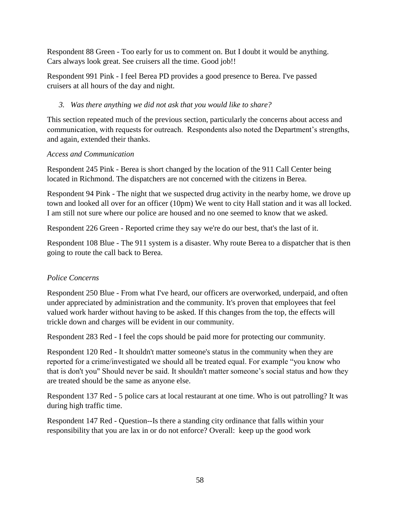Respondent 88 Green - Too early for us to comment on. But I doubt it would be anything. Cars always look great. See cruisers all the time. Good job!!

Respondent 991 Pink - I feel Berea PD provides a good presence to Berea. I've passed cruisers at all hours of the day and night.

# *3. Was there anything we did not ask that you would like to share?*

This section repeated much of the previous section, particularly the concerns about access and communication, with requests for outreach. Respondents also noted the Department's strengths, and again, extended their thanks.

# *Access and Communication*

Respondent 245 Pink - Berea is short changed by the location of the 911 Call Center being located in Richmond. The dispatchers are not concerned with the citizens in Berea.

Respondent 94 Pink - The night that we suspected drug activity in the nearby home, we drove up town and looked all over for an officer (10pm) We went to city Hall station and it was all locked. I am still not sure where our police are housed and no one seemed to know that we asked.

Respondent 226 Green - Reported crime they say we're do our best, that's the last of it.

Respondent 108 Blue - The 911 system is a disaster. Why route Berea to a dispatcher that is then going to route the call back to Berea.

# *Police Concerns*

Respondent 250 Blue - From what I've heard, our officers are overworked, underpaid, and often under appreciated by administration and the community. It's proven that employees that feel valued work harder without having to be asked. If this changes from the top, the effects will trickle down and charges will be evident in our community.

Respondent 283 Red - I feel the cops should be paid more for protecting our community.

Respondent 120 Red - It shouldn't matter someone's status in the community when they are reported for a crime/investigated we should all be treated equal. For example "you know who that is don't you" Should never be said. It shouldn't matter someone's social status and how they are treated should be the same as anyone else.

Respondent 137 Red - 5 police cars at local restaurant at one time. Who is out patrolling? It was during high traffic time.

Respondent 147 Red - Question--Is there a standing city ordinance that falls within your responsibility that you are lax in or do not enforce? Overall: keep up the good work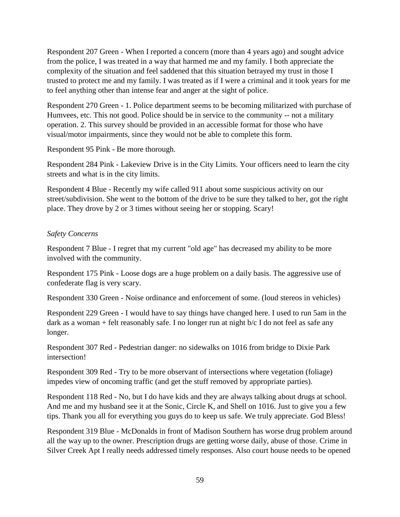Respondent 207 Green - When I reported a concern (more than 4 years ago) and sought advice from the police, I was treated in a way that harmed me and my family. I both appreciate the complexity of the situation and feel saddened that this situation betrayed my trust in those I trusted to protect me and my family. I was treated as if I were a criminal and it took years for me to feel anything other than intense fear and anger at the sight of police.

Respondent 270 Green - 1. Police department seems to be becoming militarized with purchase of Humvees, etc. This not good. Police should be in service to the community -- not a military operation. 2. This survey should be provided in an accessible format for those who have visual/motor impairments, since they would not be able to complete this form.

Respondent 95 Pink - Be more thorough.

Respondent 284 Pink - Lakeview Drive is in the City Limits. Your officers need to learn the city streets and what is in the city limits.

Respondent 4 Blue - Recently my wife called 911 about some suspicious activity on our street/subdivision. She went to the bottom of the drive to be sure they talked to her, got the right place. They drove by 2 or 3 times without seeing her or stopping. Scary!

# *Safety Concerns*

Respondent 7 Blue - I regret that my current "old age" has decreased my ability to be more involved with the community.

Respondent 175 Pink - Loose dogs are a huge problem on a daily basis. The aggressive use of confederate flag is very scary.

Respondent 330 Green - Noise ordinance and enforcement of some. (loud stereos in vehicles)

Respondent 229 Green - I would have to say things have changed here. I used to run 5am in the dark as a woman + felt reasonably safe. I no longer run at night b/c I do not feel as safe any longer.

Respondent 307 Red - Pedestrian danger: no sidewalks on 1016 from bridge to Dixie Park intersection!

Respondent 309 Red - Try to be more observant of intersections where vegetation (foliage) impedes view of oncoming traffic (and get the stuff removed by appropriate parties).

Respondent 118 Red - No, but I do have kids and they are always talking about drugs at school. And me and my husband see it at the Sonic, Circle K, and Shell on 1016. Just to give you a few tips. Thank you all for everything you guys do to keep us safe. We truly appreciate. God Bless!

Respondent 319 Blue - McDonalds in front of Madison Southern has worse drug problem around all the way up to the owner. Prescription drugs are getting worse daily, abuse of those. Crime in Silver Creek Apt I really needs addressed timely responses. Also court house needs to be opened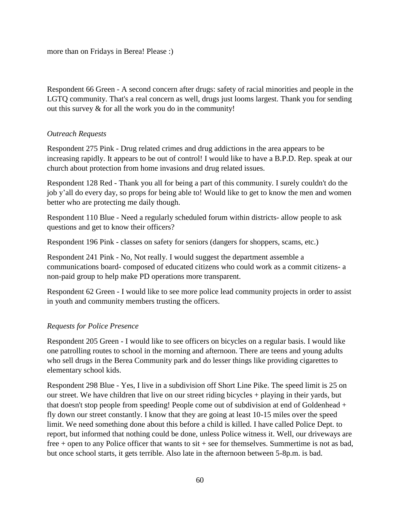more than on Fridays in Berea! Please :)

Respondent 66 Green - A second concern after drugs: safety of racial minorities and people in the LGTQ community. That's a real concern as well, drugs just looms largest. Thank you for sending out this survey & for all the work you do in the community!

### *Outreach Requests*

Respondent 275 Pink - Drug related crimes and drug addictions in the area appears to be increasing rapidly. It appears to be out of control! I would like to have a B.P.D. Rep. speak at our church about protection from home invasions and drug related issues.

Respondent 128 Red - Thank you all for being a part of this community. I surely couldn't do the job y'all do every day, so props for being able to! Would like to get to know the men and women better who are protecting me daily though.

Respondent 110 Blue - Need a regularly scheduled forum within districts- allow people to ask questions and get to know their officers?

Respondent 196 Pink - classes on safety for seniors (dangers for shoppers, scams, etc.)

Respondent 241 Pink - No, Not really. I would suggest the department assemble a communications board- composed of educated citizens who could work as a commit citizens- a non-paid group to help make PD operations more transparent.

Respondent 62 Green - I would like to see more police lead community projects in order to assist in youth and community members trusting the officers.

# *Requests for Police Presence*

Respondent 205 Green - I would like to see officers on bicycles on a regular basis. I would like one patrolling routes to school in the morning and afternoon. There are teens and young adults who sell drugs in the Berea Community park and do lesser things like providing cigarettes to elementary school kids.

Respondent 298 Blue - Yes, I live in a subdivision off Short Line Pike. The speed limit is 25 on our street. We have children that live on our street riding bicycles + playing in their yards, but that doesn't stop people from speeding! People come out of subdivision at end of Goldenhead + fly down our street constantly. I know that they are going at least 10-15 miles over the speed limit. We need something done about this before a child is killed. I have called Police Dept. to report, but informed that nothing could be done, unless Police witness it. Well, our driveways are free + open to any Police officer that wants to sit + see for themselves. Summertime is not as bad, but once school starts, it gets terrible. Also late in the afternoon between 5-8p.m. is bad.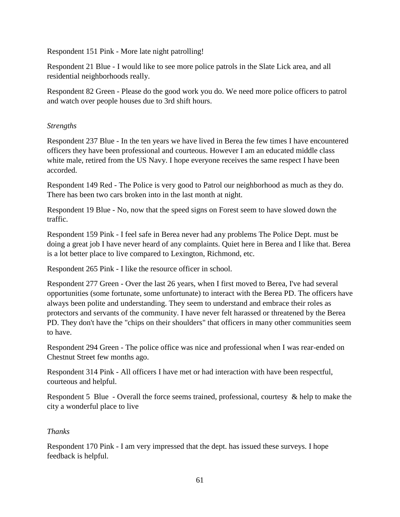Respondent 151 Pink - More late night patrolling!

Respondent 21 Blue - I would like to see more police patrols in the Slate Lick area, and all residential neighborhoods really.

Respondent 82 Green - Please do the good work you do. We need more police officers to patrol and watch over people houses due to 3rd shift hours.

# *Strengths*

Respondent 237 Blue - In the ten years we have lived in Berea the few times I have encountered officers they have been professional and courteous. However I am an educated middle class white male, retired from the US Navy. I hope everyone receives the same respect I have been accorded.

Respondent 149 Red - The Police is very good to Patrol our neighborhood as much as they do. There has been two cars broken into in the last month at night.

Respondent 19 Blue - No, now that the speed signs on Forest seem to have slowed down the traffic.

Respondent 159 Pink - I feel safe in Berea never had any problems The Police Dept. must be doing a great job I have never heard of any complaints. Quiet here in Berea and I like that. Berea is a lot better place to live compared to Lexington, Richmond, etc.

Respondent 265 Pink - I like the resource officer in school.

Respondent 277 Green - Over the last 26 years, when I first moved to Berea, I've had several opportunities (some fortunate, some unfortunate) to interact with the Berea PD. The officers have always been polite and understanding. They seem to understand and embrace their roles as protectors and servants of the community. I have never felt harassed or threatened by the Berea PD. They don't have the "chips on their shoulders" that officers in many other communities seem to have.

Respondent 294 Green - The police office was nice and professional when I was rear-ended on Chestnut Street few months ago.

Respondent 314 Pink - All officers I have met or had interaction with have been respectful, courteous and helpful.

Respondent 5 Blue - Overall the force seems trained, professional, courtesy & help to make the city a wonderful place to live

# *Thanks*

Respondent 170 Pink - I am very impressed that the dept. has issued these surveys. I hope feedback is helpful.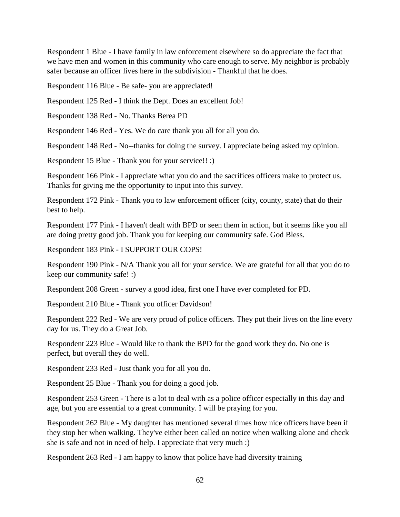Respondent 1 Blue - I have family in law enforcement elsewhere so do appreciate the fact that we have men and women in this community who care enough to serve. My neighbor is probably safer because an officer lives here in the subdivision - Thankful that he does.

Respondent 116 Blue - Be safe- you are appreciated!

Respondent 125 Red - I think the Dept. Does an excellent Job!

Respondent 138 Red - No. Thanks Berea PD

Respondent 146 Red - Yes. We do care thank you all for all you do.

Respondent 148 Red - No--thanks for doing the survey. I appreciate being asked my opinion.

Respondent 15 Blue - Thank you for your service!! :)

Respondent 166 Pink - I appreciate what you do and the sacrifices officers make to protect us. Thanks for giving me the opportunity to input into this survey.

Respondent 172 Pink - Thank you to law enforcement officer (city, county, state) that do their best to help.

Respondent 177 Pink - I haven't dealt with BPD or seen them in action, but it seems like you all are doing pretty good job. Thank you for keeping our community safe. God Bless.

Respondent 183 Pink - I SUPPORT OUR COPS!

Respondent 190 Pink - N/A Thank you all for your service. We are grateful for all that you do to keep our community safe! :)

Respondent 208 Green - survey a good idea, first one I have ever completed for PD.

Respondent 210 Blue - Thank you officer Davidson!

Respondent 222 Red - We are very proud of police officers. They put their lives on the line every day for us. They do a Great Job.

Respondent 223 Blue - Would like to thank the BPD for the good work they do. No one is perfect, but overall they do well.

Respondent 233 Red - Just thank you for all you do.

Respondent 25 Blue - Thank you for doing a good job.

Respondent 253 Green - There is a lot to deal with as a police officer especially in this day and age, but you are essential to a great community. I will be praying for you.

Respondent 262 Blue - My daughter has mentioned several times how nice officers have been if they stop her when walking. They've either been called on notice when walking alone and check she is safe and not in need of help. I appreciate that very much :)

Respondent 263 Red - I am happy to know that police have had diversity training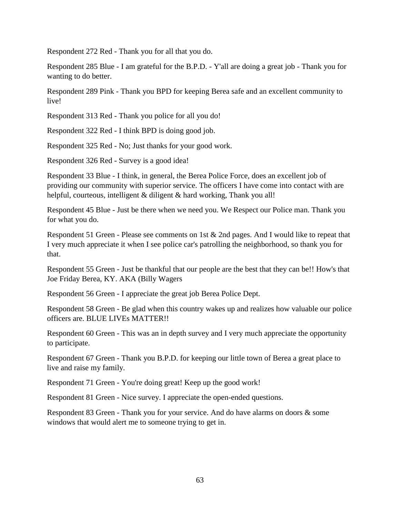Respondent 272 Red - Thank you for all that you do.

Respondent 285 Blue - I am grateful for the B.P.D. - Y'all are doing a great job - Thank you for wanting to do better.

Respondent 289 Pink - Thank you BPD for keeping Berea safe and an excellent community to live!

Respondent 313 Red - Thank you police for all you do!

Respondent 322 Red - I think BPD is doing good job.

Respondent 325 Red - No; Just thanks for your good work.

Respondent 326 Red - Survey is a good idea!

Respondent 33 Blue - I think, in general, the Berea Police Force, does an excellent job of providing our community with superior service. The officers I have come into contact with are helpful, courteous, intelligent & diligent & hard working, Thank you all!

Respondent 45 Blue - Just be there when we need you. We Respect our Police man. Thank you for what you do.

Respondent 51 Green - Please see comments on 1st & 2nd pages. And I would like to repeat that I very much appreciate it when I see police car's patrolling the neighborhood, so thank you for that.

Respondent 55 Green - Just be thankful that our people are the best that they can be!! How's that Joe Friday Berea, KY. AKA (Billy Wagers

Respondent 56 Green - I appreciate the great job Berea Police Dept.

Respondent 58 Green - Be glad when this country wakes up and realizes how valuable our police officers are. BLUE LIVEs MATTER!!

Respondent 60 Green - This was an in depth survey and I very much appreciate the opportunity to participate.

Respondent 67 Green - Thank you B.P.D. for keeping our little town of Berea a great place to live and raise my family.

Respondent 71 Green - You're doing great! Keep up the good work!

Respondent 81 Green - Nice survey. I appreciate the open-ended questions.

Respondent 83 Green - Thank you for your service. And do have alarms on doors & some windows that would alert me to someone trying to get in.